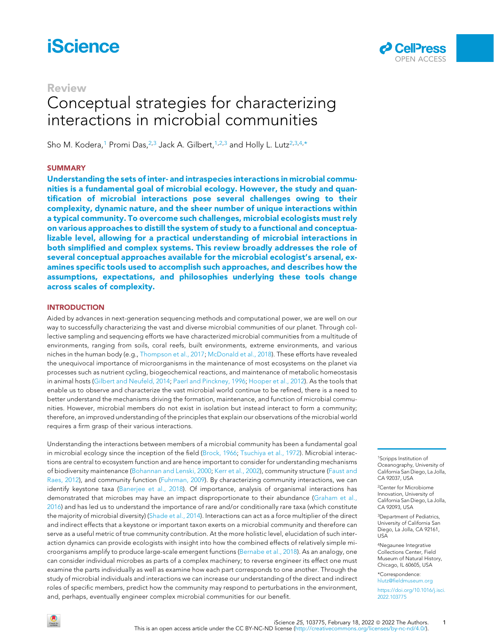# **iScience**

## Review

# Conceptual strategies for characterizing interactions in microbial communities

Sho M. Kodera,<sup>[1](#page-0-0)</sup> Promi Das,<sup>[2](#page-0-1)[,3](#page-0-2)</sup> Jack A. Gilbert,<sup>[1,](#page-0-0)[2,](#page-0-1)[3](#page-0-2)</sup> and Holly L. Lutz<sup>2,3[,4](#page-0-3),[\\*](#page-0-4)</sup>

### **SUMMARY**

Understanding the sets of inter- and intraspecies interactions in microbial communities is a fundamental goal of microbial ecology. However, the study and quantification of microbial interactions pose several challenges owing to their complexity, dynamic nature, and the sheer number of unique interactions within a typical community. To overcome such challenges, microbial ecologists must rely on various approaches to distill the system of study to a functional and conceptualizable level, allowing for a practical understanding of microbial interactions in both simplified and complex systems. This review broadly addresses the role of several conceptual approaches available for the microbial ecologist's arsenal, examines specific tools used to accomplish such approaches, and describes how the assumptions, expectations, and philosophies underlying these tools change across scales of complexity.

### INTRODUCTION

Aided by advances in next-generation sequencing methods and computational power, we are well on our way to successfully characterizing the vast and diverse microbial communities of our planet. Through collective sampling and sequencing efforts we have characterized microbial communities from a multitude of environments, ranging from soils, coral reefs, built environments, extreme environments, and various niches in the human body (e.g., [Thompson et al., 2017;](#page-10-0) [McDonald et al., 2018\)](#page-10-1). These efforts have revealed the unequivocal importance of microorganisms in the maintenance of most ecosystems on the planet via processes such as nutrient cycling, biogeochemical reactions, and maintenance of metabolic homeostasis in animal hosts ([Gilbert and Neufeld, 2014;](#page-9-0) [Paerl and Pinckney, 1996;](#page-10-2) [Hooper et al., 2012\)](#page-9-1). As the tools that enable us to observe and characterize the vast microbial world continue to be refined, there is a need to better understand the mechanisms driving the formation, maintenance, and function of microbial communities. However, microbial members do not exist in isolation but instead interact to form a community; therefore, an improved understanding of the principles that explain our observations of the microbial world requires a firm grasp of their various interactions.

Understanding the interactions between members of a microbial community has been a fundamental goal in microbial ecology since the inception of the field ([Brock, 1966](#page-8-0); [Tsuchiya et al., 1972](#page-10-3)). Microbial interactions are central to ecosystem function and are hence important to consider for understanding mechanisms of biodiversity maintenance ([Bohannan and Lenski, 2000](#page-8-1); [Kerr et al., 2002](#page-9-2)), community structure [\(Faust and](#page-9-3) [Raes, 2012](#page-9-3)), and community function [\(Fuhrman, 2009\)](#page-9-4). By characterizing community interactions, we can identify keystone taxa [\(Banerjee et al., 2018\)](#page-8-2). Of importance, analysis of organismal interactions has demonstrated that microbes may have an impact disproportionate to their abundance [\(Graham et al.,](#page-9-5) [2016\)](#page-9-5) and has led us to understand the importance of rare and/or conditionally rare taxa (which constitute the majority of microbial diversity) [\(Shade et al., 2014\)](#page-10-4). Interactions can act as a force multiplier of the direct and indirect effects that a keystone or important taxon exerts on a microbial community and therefore can serve as a useful metric of true community contribution. At the more holistic level, elucidation of such interaction dynamics can provide ecologists with insight into how the combined effects of relatively simple microorganisms amplify to produce large-scale emergent functions ([Bernabe et al., 2018](#page-8-3)). As an analogy, one can consider individual microbes as parts of a complex machinery; to reverse engineer its effect one must examine the parts individually as well as examine how each part corresponds to one another. Through the study of microbial individuals and interactions we can increase our understanding of the direct and indirect roles of specific members, predict how the community may respond to perturbations in the environment, and, perhaps, eventually engineer complex microbial communities for our benefit.

<span id="page-0-0"></span>1Scripps Institution of Oceanography, University of California San Diego, La Jolla, CA 92037, USA

<span id="page-0-1"></span>2Center for Microbiome Innovation, University of California San Diego, La Jolla, CA 92093, USA

<span id="page-0-2"></span>3Department of Pediatrics, University of California San Diego, La Jolla, CA 92161, USA

<span id="page-0-3"></span>4Negaunee Integrative Collections Center, Field Museum of Natural History, Chicago, IL 60605, USA

<span id="page-0-4"></span>\*Correspondence: [hlutz@fieldmuseum.org](mailto:hlutz@fieldmuseum.org)

[https://doi.org/10.1016/j.isci.](https://doi.org/10.1016/j.isci.2022.103775) [2022.103775](https://doi.org/10.1016/j.isci.2022.103775)

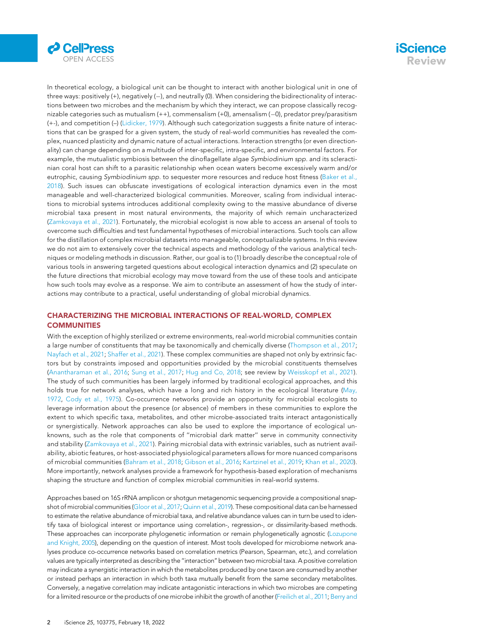



In theoretical ecology, a biological unit can be thought to interact with another biological unit in one of three ways: positively  $(+)$ , negatively  $(-)$ , and neutrally (0). When considering the bidirectionality of interactions between two microbes and the mechanism by which they interact, we can propose classically recognizable categories such as mutualism (++), commensalism (+0), amensalism (-0), predator prey/parasitism (+-), and competition (–) [\(Lidicker, 1979\)](#page-9-6). Although such categorization suggests a finite nature of interactions that can be grasped for a given system, the study of real-world communities has revealed the complex, nuanced plasticity and dynamic nature of actual interactions. Interaction strengths (or even directionality) can change depending on a multitude of inter-specific, intra-specific, and environmental factors. For example, the mutualistic symbiosis between the dinoflagellate algae Symbiodinium spp. and its scleractinian coral host can shift to a parasitic relationship when ocean waters become excessively warm and/or eutrophic, causing Symbiodinium spp. to sequester more resources and reduce host fitness [\(Baker et al.,](#page-8-4) [2018\)](#page-8-4). Such issues can obfuscate investigations of ecological interaction dynamics even in the most manageable and well-characterized biological communities. Moreover, scaling from individual interactions to microbial systems introduces additional complexity owing to the massive abundance of diverse microbial taxa present in most natural environments, the majority of which remain uncharacterized ([Zamkovaya et al., 2021](#page-11-0)). Fortunately, the microbial ecologist is now able to access an arsenal of tools to overcome such difficulties and test fundamental hypotheses of microbial interactions. Such tools can allow for the distillation of complex microbial datasets into manageable, conceptualizable systems. In this review we do not aim to extensively cover the technical aspects and methodology of the various analytical techniques or modeling methods in discussion. Rather, our goal is to (1) broadly describe the conceptual role of various tools in answering targeted questions about ecological interaction dynamics and (2) speculate on the future directions that microbial ecology may move toward from the use of these tools and anticipate how such tools may evolve as a response. We aim to contribute an assessment of how the study of interactions may contribute to a practical, useful understanding of global microbial dynamics.

### CHARACTERIZING THE MICROBIAL INTERACTIONS OF REAL-WORLD, COMPLEX **COMMUNITIES**

With the exception of highly sterilized or extreme environments, real-world microbial communities contain a large number of constituents that may be taxonomically and chemically diverse [\(Thompson et al., 2017](#page-10-0); [Nayfach et al., 2021;](#page-10-5) [Shaffer et al., 2021](#page-10-6)). These complex communities are shaped not only by extrinsic factors but by constraints imposed and opportunities provided by the microbial constituents themselves ([Anantharaman et al., 2016;](#page-8-5) [Sung et al., 2017](#page-10-7); [Hug and Co, 2018](#page-9-7); see review by [Weisskopf et al., 2021](#page-10-8)). The study of such communities has been largely informed by traditional ecological approaches, and this holds true for network analyses, which have a long and rich history in the ecological literature ([May,](#page-10-9) [1972,](#page-10-9) [Cody et al., 1975\)](#page-9-8). Co-occurrence networks provide an opportunity for microbial ecologists to leverage information about the presence (or absence) of members in these communities to explore the extent to which specific taxa, metabolites, and other microbe-associated traits interact antagonistically or synergistically. Network approaches can also be used to explore the importance of ecological unknowns, such as the role that components of ''microbial dark matter'' serve in community connectivity and stability ([Zamkovaya et al., 2021\)](#page-11-0). Pairing microbial data with extrinsic variables, such as nutrient availability, abiotic features, or host-associated physiological parameters allows for more nuanced comparisons of microbial communities ([Bahram et al., 2018;](#page-8-6) [Gibson et al., 2016;](#page-9-9) [Kartzinel et al., 2019;](#page-9-10) [Khan et al., 2020](#page-9-11)). More importantly, network analyses provide a framework for hypothesis-based exploration of mechanisms shaping the structure and function of complex microbial communities in real-world systems.

Approaches based on 16S rRNA amplicon or shotgun metagenomic sequencing provide a compositional snapshot of microbial communities [\(Gloor et al., 2017](#page-9-12); [Quinn et al., 2019](#page-10-10)). These compositional data can be harnessed to estimate the relative abundance of microbial taxa, and relative abundance values can in turn be used to identify taxa of biological interest or importance using correlation-, regression-, or dissimilarity-based methods. These approaches can incorporate phylogenetic information or remain phylogenetically agnostic [\(Lozupone](#page-9-13) [and Knight, 2005\)](#page-9-13), depending on the question of interest. Most tools developed for microbiome network analyses produce co-occurrence networks based on correlation metrics (Pearson, Spearman, etc.), and correlation values are typically interpreted as describing the ''interaction'' between two microbial taxa. A positive correlation may indicate a synergistic interaction in which the metabolites produced by one taxon are consumed by another or instead perhaps an interaction in which both taxa mutually benefit from the same secondary metabolites. Conversely, a negative correlation may indicate antagonistic interactions in which two microbes are competing for a limited resource or the products of one microbe inhibit the growth of another [\(Freilich et al., 2011](#page-9-14); [Berry and](#page-8-7)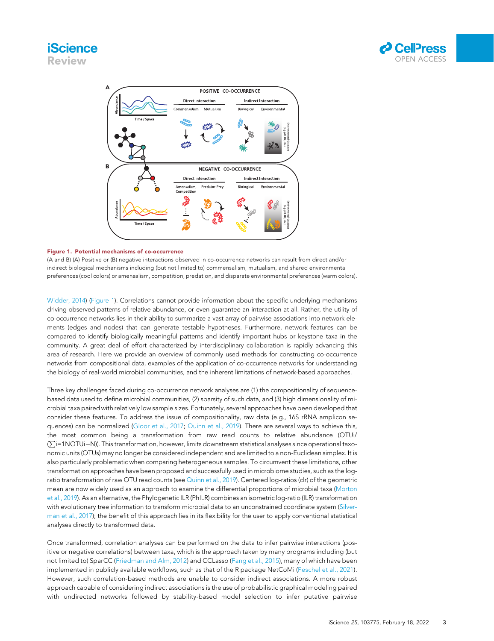<span id="page-2-0"></span>





### Figure 1. Potential mechanisms of co-occurrence

(A and B) (A) Positive or (B) negative interactions observed in co-occurrence networks can result from direct and/or indirect biological mechanisms including (but not limited to) commensalism, mutualism, and shared environmental preferences (cool colors) or amensalism, competition, predation, and disparate environmental preferences (warm colors).

[Widder, 2014](#page-8-7)) [\(Figure 1\)](#page-2-0). Correlations cannot provide information about the specific underlying mechanisms driving observed patterns of relative abundance, or even guarantee an interaction at all. Rather, the utility of co-occurrence networks lies in their ability to summarize a vast array of pairwise associations into network elements (edges and nodes) that can generate testable hypotheses. Furthermore, network features can be compared to identify biologically meaningful patterns and identify important hubs or keystone taxa in the community. A great deal of effort characterized by interdisciplinary collaboration is rapidly advancing this area of research. Here we provide an overview of commonly used methods for constructing co-occurrence networks from compositional data, examples of the application of co-occurrence networks for understanding the biology of real-world microbial communities, and the inherent limitations of network-based approaches.

Three key challenges faced during co-occurrence network analyses are (1) the compositionality of sequencebased data used to define microbial communities, (2) sparsity of such data, and (3) high dimensionality of microbial taxa paired with relatively low sample sizes. Fortunately, several approaches have been developed that consider these features. To address the issue of compositionality, raw data (e.g., 16S rRNA amplicon sequences) can be normalized ([Gloor et al., 2017](#page-9-12); [Quinn et al., 2019\)](#page-10-10). There are several ways to achieve this, the most common being a transformation from raw read counts to relative abundance (OTUi/ ( $\sum$ i=1NOTUi—N)). This transformation, however, limits downstream statistical analyses since operational taxonomic units (OTUs) may no longer be considered independent and are limited to a non-Euclidean simplex. It is also particularly problematic when comparing heterogeneous samples. To circumvent these limitations, other transformation approaches have been proposed and successfully used in microbiome studies, such as the log-ratio transformation of raw OTU read counts (see [Quinn et al., 2019](#page-10-10)). Centered log-ratios (clr) of the geometric mean are now widely used as an approach to examine the differential proportions of microbial taxa [\(Morton](#page-10-11) [et al., 2019](#page-10-11)). As an alternative, the Phylogenetic ILR (PhILR) combines an isometric log-ratio (ILR) transformation with evolutionary tree information to transform microbial data to an unconstrained coordinate system ([Silver](#page-10-12)[man et al., 2017\)](#page-10-12); the benefit of this approach lies in its flexibility for the user to apply conventional statistical analyses directly to transformed data.

Once transformed, correlation analyses can be performed on the data to infer pairwise interactions (positive or negative correlations) between taxa, which is the approach taken by many programs including (but not limited to) SparCC ([Friedman and Alm, 2012](#page-9-15)) and CCLasso ([Fang et al., 2015](#page-9-16)), many of which have been implemented in publicly available workflows, such as that of the R package NetCoMi ([Peschel et al., 2021](#page-10-13)). However, such correlation-based methods are unable to consider indirect associations. A more robust approach capable of considering indirect associations is the use of probabilistic graphical modeling paired with undirected networks followed by stability-based model selection to infer putative pairwise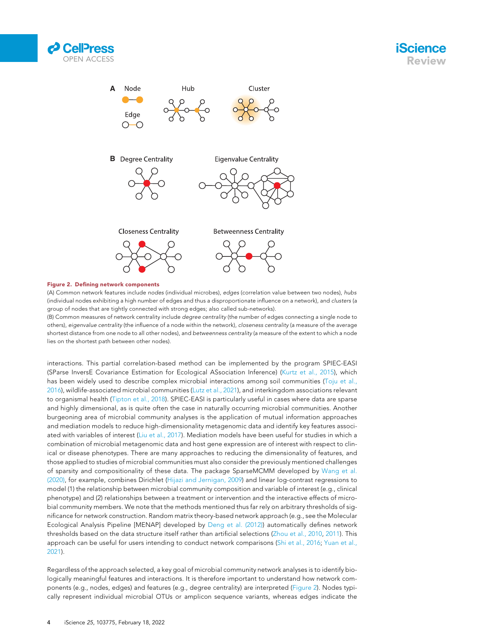<span id="page-3-0"></span>





### Figure 2. Defining network components

(A) Common network features include nodes (individual microbes), edges (correlation value between two nodes), hubs (individual nodes exhibiting a high number of edges and thus a disproportionate influence on a network), and clusters (a group of nodes that are tightly connected with strong edges; also called sub-networks).

(B) Common measures of network centrality include degree centrality (the number of edges connecting a single node to others), eigenvalue centrality (the influence of a node within the network), closeness centrality (a measure of the average shortest distance from one node to all other nodes), and betweenness centrality (a measure of the extent to which a node lies on the shortest path between other nodes).

interactions. This partial correlation-based method can be implemented by the program SPIEC-EASI (SParse InversE Covariance Estimation for Ecological ASsociation Inference) [\(Kurtz et al., 2015\)](#page-9-17), which has been widely used to describe complex microbial interactions among soil communities ([Toju et al.,](#page-10-14) [2016\)](#page-10-14), wildlife-associated microbial communities ([Lutz et al., 2021\)](#page-10-15), and interkingdom associations relevant to organismal health ([Tipton et al., 2018\)](#page-10-16). SPIEC-EASI is particularly useful in cases where data are sparse and highly dimensional, as is quite often the case in naturally occurring microbial communities. Another burgeoning area of microbial community analyses is the application of mutual information approaches and mediation models to reduce high-dimensionality metagenomic data and identify key features associated with variables of interest [\(Liu et al., 2017](#page-9-18)). Mediation models have been useful for studies in which a combination of microbial metagenomic data and host gene expression are of interest with respect to clinical or disease phenotypes. There are many approaches to reducing the dimensionality of features, and those applied to studies of microbial communities must also consider the previously mentioned challenges of sparsity and compositionality of these data. The package SparseMCMM developed by [Wang et al.](#page-10-17) [\(2020\)](#page-10-17), for example, combines Dirichlet [\(Hijazi and Jernigan, 2009\)](#page-9-19) and linear log-contrast regressions to model (1) the relationship between microbial community composition and variable of interest (e.g., clinical phenotype) and (2) relationships between a treatment or intervention and the interactive effects of microbial community members. We note that the methods mentioned thus far rely on arbitrary thresholds of significance for network construction. Random matrix theory-based network approach (e.g., see the Molecular Ecological Analysis Pipeline [MENAP] developed by [Deng et al. \(2012\)\)](#page-9-20) automatically defines network thresholds based on the data structure itself rather than artificial selections [\(Zhou et al., 2010,](#page-11-1) [2011\)](#page-11-2). This approach can be useful for users intending to conduct network comparisons ([Shi et al., 2016;](#page-10-18) [Yuan et al.,](#page-11-3) [2021\)](#page-11-3).

Regardless of the approach selected, a key goal of microbial community network analyses is to identify biologically meaningful features and interactions. It is therefore important to understand how network components (e.g., nodes, edges) and features (e.g., degree centrality) are interpreted [\(Figure 2](#page-3-0)). Nodes typically represent individual microbial OTUs or amplicon sequence variants, whereas edges indicate the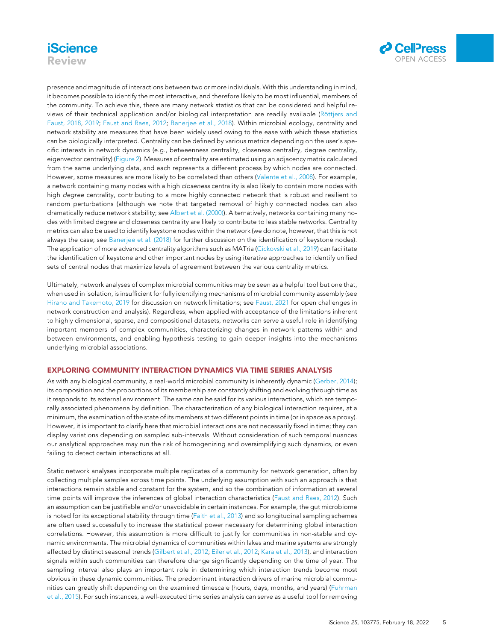



presence and magnitude of interactions between two or more individuals. With this understanding in mind, it becomes possible to identify the most interactive, and therefore likely to be most influential, members of the community. To achieve this, there are many network statistics that can be considered and helpful reviews of their technical application and/or biological interpretation are readily available (Rö[ttjers and](#page-10-19) [Faust, 2018](#page-10-19), [2019;](#page-10-20) [Faust and Raes, 2012](#page-9-3); [Banerjee et al., 2018](#page-8-2)). Within microbial ecology, centrality and network stability are measures that have been widely used owing to the ease with which these statistics can be biologically interpreted. Centrality can be defined by various metrics depending on the user's specific interests in network dynamics (e.g., betweenness centrality, closeness centrality, degree centrality, eigenvector centrality) [\(Figure 2](#page-3-0)). Measures of centrality are estimated using an adjacency matrix calculated from the same underlying data, and each represents a different process by which nodes are connected. However, some measures are more likely to be correlated than others ([Valente et al., 2008](#page-10-21)). For example, a network containing many nodes with a high closeness centrality is also likely to contain more nodes with high degree centrality, contributing to a more highly connected network that is robust and resilient to random perturbations (although we note that targeted removal of highly connected nodes can also dramatically reduce network stability; see [Albert et al. \(2000\)](#page-8-8)). Alternatively, networks containing many nodes with limited degree and closeness centrality are likely to contribute to less stable networks. Centrality metrics can also be used to identify keystone nodes within the network (we do note, however, that this is not always the case; see [Banerjee et al. \(2018\)](#page-8-2) for further discussion on the identification of keystone nodes). The application of more advanced centrality algorithms such as MATria ([Cickovski et al., 2019](#page-9-21)) can facilitate the identification of keystone and other important nodes by using iterative approaches to identify unified sets of central nodes that maximize levels of agreement between the various centrality metrics.

Ultimately, network analyses of complex microbial communities may be seen as a helpful tool but one that, when used in isolation, is insufficient for fully identifying mechanisms of microbial community assembly (see [Hirano and Takemoto, 2019](#page-9-22) for discussion on network limitations; see [Faust, 2021](#page-9-23) for open challenges in network construction and analysis). Regardless, when applied with acceptance of the limitations inherent to highly dimensional, sparse, and compositional datasets, networks can serve a useful role in identifying important members of complex communities, characterizing changes in network patterns within and between environments, and enabling hypothesis testing to gain deeper insights into the mechanisms underlying microbial associations.

### EXPLORING COMMUNITY INTERACTION DYNAMICS VIA TIME SERIES ANALYSIS

As with any biological community, a real-world microbial community is inherently dynamic ([Gerber, 2014](#page-9-24)); its composition and the proportions of its membership are constantly shifting and evolving through time as it responds to its external environment. The same can be said for its various interactions, which are temporally associated phenomena by definition. The characterization of any biological interaction requires, at a minimum, the examination of the state of its members at two different points in time (or in space as a proxy). However, it is important to clarify here that microbial interactions are not necessarily fixed in time; they can display variations depending on sampled sub-intervals. Without consideration of such temporal nuances our analytical approaches may run the risk of homogenizing and oversimplifying such dynamics, or even failing to detect certain interactions at all.

Static network analyses incorporate multiple replicates of a community for network generation, often by collecting multiple samples across time points. The underlying assumption with such an approach is that interactions remain stable and constant for the system, and so the combination of information at several time points will improve the inferences of global interaction characteristics ([Faust and Raes, 2012](#page-9-3)). Such an assumption can be justifiable and/or unavoidable in certain instances. For example, the gut microbiome is noted for its exceptional stability through time ([Faith et al., 2013\)](#page-9-25) and so longitudinal sampling schemes are often used successfully to increase the statistical power necessary for determining global interaction correlations. However, this assumption is more difficult to justify for communities in non-stable and dynamic environments. The microbial dynamics of communities within lakes and marine systems are strongly affected by distinct seasonal trends ([Gilbert et al., 2012](#page-9-26); [Eiler et al., 2012;](#page-9-27) [Kara et al., 2013\)](#page-9-28), and interaction signals within such communities can therefore change significantly depending on the time of year. The sampling interval also plays an important role in determining which interaction trends become most obvious in these dynamic communities. The predominant interaction drivers of marine microbial communities can greatly shift depending on the examined timescale (hours, days, months, and years) [\(Fuhrman](#page-9-29) [et al., 2015](#page-9-29)). For such instances, a well-executed time series analysis can serve as a useful tool for removing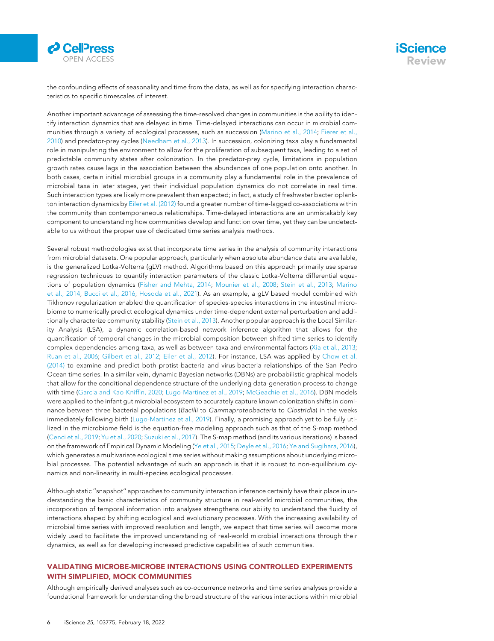



the confounding effects of seasonality and time from the data, as well as for specifying interaction characteristics to specific timescales of interest.

Another important advantage of assessing the time-resolved changes in communities is the ability to identify interaction dynamics that are delayed in time. Time-delayed interactions can occur in microbial communities through a variety of ecological processes, such as succession [\(Marino et al., 2014](#page-10-22); [Fierer et al.,](#page-9-30) [2010\)](#page-9-30) and predator-prey cycles ([Needham et al., 2013\)](#page-10-23). In succession, colonizing taxa play a fundamental role in manipulating the environment to allow for the proliferation of subsequent taxa, leading to a set of predictable community states after colonization. In the predator-prey cycle, limitations in population growth rates cause lags in the association between the abundances of one population onto another. In both cases, certain initial microbial groups in a community play a fundamental role in the prevalence of microbial taxa in later stages, yet their individual population dynamics do not correlate in real time. Such interaction types are likely more prevalent than expected; in fact, a study of freshwater bacterioplankton interaction dynamics by [Eiler et al. \(2012\)](#page-9-27) found a greater number of time-lagged co-associations within the community than contemporaneous relationships. Time-delayed interactions are an unmistakably key component to understanding how communities develop and function over time, yet they can be undetectable to us without the proper use of dedicated time series analysis methods.

Several robust methodologies exist that incorporate time series in the analysis of community interactions from microbial datasets. One popular approach, particularly when absolute abundance data are available, is the generalized Lotka-Volterra (gLV) method. Algorithms based on this approach primarily use sparse regression techniques to quantify interaction parameters of the classic Lotka-Volterra differential equations of population dynamics ([Fisher and Mehta, 2014;](#page-9-31) [Mounier et al., 2008;](#page-10-24) [Stein et al., 2013;](#page-10-25) [Marino](#page-10-22) [et al., 2014;](#page-10-22) [Bucci et al., 2016](#page-8-9); [Hosoda et al., 2021](#page-9-32)). As an example, a gLV based model combined with Tikhonov regularization enabled the quantification of species-species interactions in the intestinal microbiome to numerically predict ecological dynamics under time-dependent external perturbation and additionally characterize community stability ([Stein et al., 2013\)](#page-10-25). Another popular approach is the Local Similarity Analysis (LSA), a dynamic correlation-based network inference algorithm that allows for the quantification of temporal changes in the microbial composition between shifted time series to identify complex dependencies among taxa, as well as between taxa and environmental factors ([Xia et al., 2013](#page-10-26); [Ruan et al., 2006;](#page-10-27) [Gilbert et al., 2012](#page-9-26); [Eiler et al., 2012\)](#page-9-27). For instance, LSA was applied by [Chow et al.](#page-9-33) [\(2014\)](#page-9-33) to examine and predict both protist-bacteria and virus-bacteria relationships of the San Pedro Ocean time series. In a similar vein, dynamic Bayesian networks (DBNs) are probabilistic graphical models that allow for the conditional dependence structure of the underlying data-generation process to change with time [\(Garcia and Kao-Kniffin, 2020](#page-9-34); [Lugo-Martinez et al., 2019;](#page-9-35) [McGeachie et al., 2016](#page-10-28)). DBN models were applied to the infant gut microbial ecosystem to accurately capture known colonization shifts in dominance between three bacterial populations (Bacilli to Gammaproteobacteria to Clostridia) in the weeks immediately following birth ([Lugo-Martinez et al., 2019](#page-9-35)). Finally, a promising approach yet to be fully utilized in the microbiome field is the equation-free modeling approach such as that of the S-map method ([Cenci et al., 2019](#page-9-36); [Yu et al., 2020;](#page-11-4) [Suzuki et al., 2017\)](#page-10-29). The S-map method (and its various iterations) is based on the framework of Empirical Dynamic Modeling [\(Ye et al., 2015;](#page-11-5) [Deyle et al., 2016;](#page-9-37) [Ye and Sugihara, 2016](#page-11-6)), which generates a multivariate ecological time series without making assumptions about underlying microbial processes. The potential advantage of such an approach is that it is robust to non-equilibrium dynamics and non-linearity in multi-species ecological processes.

Although static ''snapshot'' approaches to community interaction inference certainly have their place in understanding the basic characteristics of community structure in real-world microbial communities, the incorporation of temporal information into analyses strengthens our ability to understand the fluidity of interactions shaped by shifting ecological and evolutionary processes. With the increasing availability of microbial time series with improved resolution and length, we expect that time series will become more widely used to facilitate the improved understanding of real-world microbial interactions through their dynamics, as well as for developing increased predictive capabilities of such communities.

### VALIDATING MICROBE-MICROBE INTERACTIONS USING CONTROLLED EXPERIMENTS WITH SIMPLIFIED, MOCK COMMUNITIES

Although empirically derived analyses such as co-occurrence networks and time series analyses provide a foundational framework for understanding the broad structure of the various interactions within microbial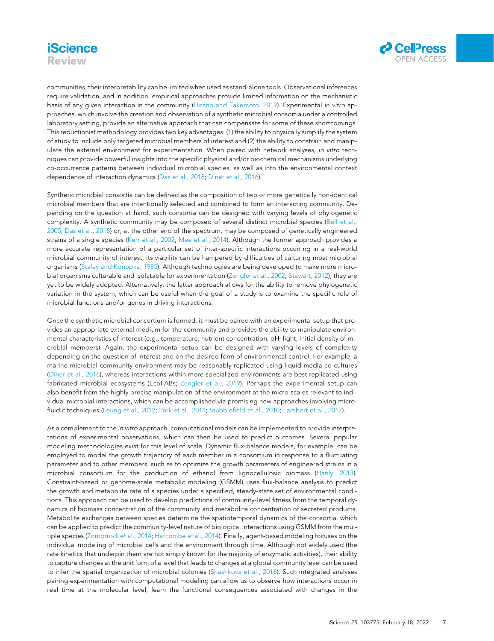# **iScience** Review



communities, their interpretability can be limited when used as stand-alone tools. Observational inferences require validation, and in addition, empirical approaches provide limited information on the mechanistic basis of any given interaction in the community ([Hirano and Takemoto, 2019\)](#page-9-22). Experimental in vitro approaches, which involve the creation and observation of a synthetic microbial consortia under a controlled laboratory setting, provide an alternative approach that can compensate for some of these shortcomings. This reductionist methodology provides two key advantages: (1) the ability to physically simplify the system of study to include only targeted microbial members of interest and (2) the ability to constrain and manipulate the external environment for experimentation. When paired with network analyses, in vitro techniques can provide powerful insights into the specific physical and/or biochemical mechanisms underlying co-occurrence patterns between individual microbial species, as well as into the environmental context dependence of interaction dynamics ([Das et al., 2018](#page-9-38); [Diner et al., 2016\)](#page-9-39).

Synthetic microbial consortia can be defined as the composition of two or more genetically non-identical microbial members that are intentionally selected and combined to form an interacting community. Depending on the question at hand, such consortia can be designed with varying levels of phylogenetic complexity. A synthetic community may be composed of several distinct microbial species ([Bell et al.,](#page-8-10) [2005;](#page-8-10) [Das et al., 2018\)](#page-9-38) or, at the other end of the spectrum, may be composed of genetically engineered strains of a single species ([Kerr et al., 2002;](#page-9-2) [Mee et al., 2014\)](#page-10-30). Although the former approach provides a more accurate representation of a particular set of inter-specific interactions occurring in a real-world microbial community of interest, its viability can be hampered by difficulties of culturing most microbial organisms [\(Staley and Konopka, 1985](#page-10-31)). Although technologies are being developed to make more microbial organisms culturable and isolatable for experimentation [\(Zengler et al., 2002](#page-11-7); [Stewart, 2012\)](#page-10-32), they are yet to be widely adopted. Alternatively, the latter approach allows for the ability to remove phylogenetic variation in the system, which can be useful when the goal of a study is to examine the specific role of microbial functions and/or genes in driving interactions.

Once the synthetic microbial consortium is formed, it must be paired with an experimental setup that provides an appropriate external medium for the community and provides the ability to manipulate environmental characteristics of interest (e.g., temperature, nutrient concentration, pH, light, initial density of microbial members). Again, the experimental setup can be designed with varying levels of complexity depending on the question of interest and on the desired form of environmental control. For example, a marine microbial community environment may be reasonably replicated using liquid media co-cultures ([Diner et al., 2016\)](#page-9-39), whereas interactions within more specialized environments are best replicated using fabricated microbial ecosystems (EcoFABs; [Zengler et al., 2019](#page-11-8)). Perhaps the experimental setup can also benefit from the highly precise manipulation of the environment at the micro-scales relevant to individual microbial interactions, which can be accomplished via promising new approaches involving micro-fluidic techniques ([Leung et al., 2012;](#page-9-40) [Park et al., 2011;](#page-10-33) [Stubblefield et al., 2010;](#page-10-34) [Lambert et al., 2017\)](#page-9-41).

As a complement to the in vitro approach, computational models can be implemented to provide interpretations of experimental observations, which can then be used to predict outcomes. Several popular modeling methodologies exist for this level of scale. Dynamic flux-balance models, for example, can be employed to model the growth trajectory of each member in a consortium in response to a fluctuating parameter and to other members, such as to optimize the growth parameters of engineered strains in a microbial consortium for the production of ethanol from lignocellulosic biomass ([Hanly, 2013\)](#page-9-42). Constraint-based or genome-scale metabolic modeling (GSMM) uses flux-balance analysis to predict the growth and metabolite rate of a species under a specified, steady-state set of environmental conditions. This approach can be used to develop predictions of community-level fitness from the temporal dynamics of biomass concentration of the community and metabolite concentration of secreted products. Metabolite exchanges between species determine the spatiotemporal dynamics of the consortia, which can be applied to predict the community-level nature of biological interactions using GSMM from the multiple species ([Zomorrodi et al., 2014](#page-11-9); [Harcombe et al., 2014](#page-9-43)). Finally, agent-based modeling focuses on the individual modeling of microbial cells and the environment through time. Although not widely used (the rate kinetics that underpin them are not simply known for the majority of enzymatic activities), their ability to capture changes at the unit form of a level that leads to changes at a global community level can be used to infer the spatial organization of microbial colonies [\(Shashkova et al., 2016](#page-10-35)). Such integrated analyses pairing experimentation with computational modeling can allow us to observe how interactions occur in real time at the molecular level, learn the functional consequences associated with changes in the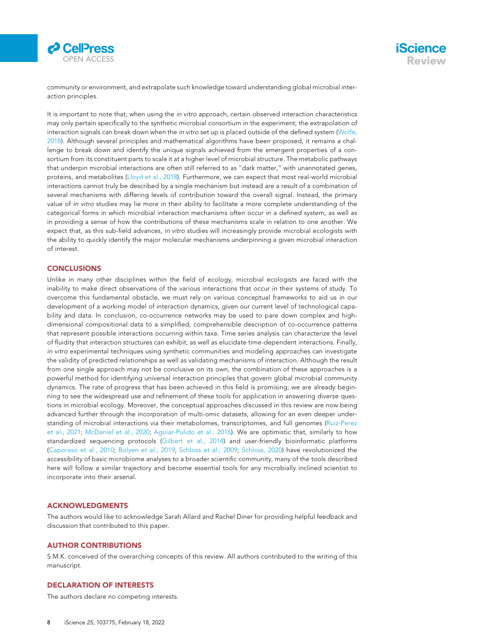

community or environment, and extrapolate such knowledge toward understanding global microbial interaction principles.

It is important to note that, when using the in vitro approach, certain observed interaction characteristics may only pertain specifically to the synthetic microbial consortium in the experiment; the extrapolation of interaction signals can break down when the in vitro set up is placed outside of the defined system ([Wolfe,](#page-10-36) [2018\)](#page-10-36). Although several principles and mathematical algorithms have been proposed, it remains a challenge to break down and identify the unique signals achieved from the emergent properties of a consortium from its constituent parts to scale it at a higher level of microbial structure. The metabolic pathways that underpin microbial interactions are often still referred to as ''dark matter,'' with unannotated genes, proteins, and metabolites [\(Lloyd et al., 2018\)](#page-9-44). Furthermore, we can expect that most real-world microbial interactions cannot truly be described by a single mechanism but instead are a result of a combination of several mechanisms with differing levels of contribution toward the overall signal. Instead, the primary value of in vitro studies may lie more in their ability to facilitate a more complete understanding of the categorical forms in which microbial interaction mechanisms often occur in a defined system, as well as in providing a sense of how the contributions of these mechanisms scale in relation to one another. We expect that, as this sub-field advances, in vitro studies will increasingly provide microbial ecologists with the ability to quickly identify the major molecular mechanisms underpinning a given microbial interaction of interest.

### **CONCLUSIONS**

Unlike in many other disciplines within the field of ecology, microbial ecologists are faced with the inability to make direct observations of the various interactions that occur in their systems of study. To overcome this fundamental obstacle, we must rely on various conceptual frameworks to aid us in our development of a working model of interaction dynamics, given our current level of technological capability and data. In conclusion, co-occurrence networks may be used to pare down complex and highdimensional compositional data to a simplified, comprehensible description of co-occurrence patterns that represent possible interactions occurring within taxa. Time series analysis can characterize the level of fluidity that interaction structures can exhibit, as well as elucidate time-dependent interactions. Finally, in vitro experimental techniques using synthetic communities and modeling approaches can investigate the validity of predicted relationships as well as validating mechanisms of interaction. Although the result from one single approach may not be conclusive on its own, the combination of these approaches is a powerful method for identifying universal interaction principles that govern global microbial community dynamics. The rate of progress that has been achieved in this field is promising; we are already beginning to see the widespread use and refinement of these tools for application in answering diverse questions in microbial ecology. Moreover, the conceptual approaches discussed in this review are now being advanced further through the incorporation of multi-omic datasets, allowing for an even deeper understanding of microbial interactions via their metabolomes, transcriptomes, and full genomes ([Ruiz-Perez](#page-10-37) [et al., 2021;](#page-10-37) [McDaniel et al., 2020;](#page-10-38) [Aguiar-Pulido et al., 2016](#page-8-11)). We are optimistic that, similarly to how standardized sequencing protocols ([Gilbert et al., 2014](#page-9-45)) and user-friendly bioinformatic platforms ([Caporaso et al., 2010](#page-9-46); [Bolyen et al., 2019;](#page-8-12) [Schloss et al., 2009](#page-10-39); [Schloss, 2020](#page-10-40)) have revolutionized the accessibility of basic microbiome analyses to a broader scientific community, many of the tools described here will follow a similar trajectory and become essential tools for any microbially inclined scientist to incorporate into their arsenal.

### ACKNOWLEDGMENTS

The authors would like to acknowledge Sarah Allard and Rachel Diner for providing helpful feedback and discussion that contributed to this paper.

### AUTHOR CONTRIBUTIONS

S.M.K. conceived of the overarching concepts of this review. All authors contributed to the writing of this manuscript.

### DECLARATION OF INTERESTS

The authors declare no competing interests.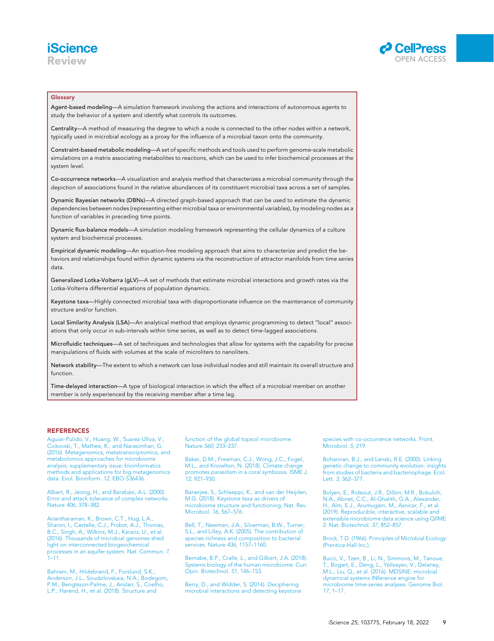



### Glossary

Agent-based modeling—A simulation framework involving the actions and interactions of autonomous agents to study the behavior of a system and identify what controls its outcomes.

Centrality—A method of measuring the degree to which a node is connected to the other nodes within a network, typically used in microbial ecology as a proxy for the influence of a microbial taxon onto the community.

Constraint-based metabolic modeling—A set of specific methods and tools used to perform genome-scale metabolic simulations on a matrix associating metabolites to reactions, which can be used to infer biochemical processes at the system level.

Co-occurrence networks—A visualization and analysis method that characterizes a microbial community through the depiction of associations found in the relative abundances of its constituent microbial taxa across a set of samples.

Dynamic Bayesian networks (DBNs)—A directed graph-based approach that can be used to estimate the dynamic dependencies between nodes (representing either microbial taxa or environmental variables), by modeling nodes as a function of variables in preceding time points.

Dynamic flux-balance models—A simulation modeling framework representing the cellular dynamics of a culture system and biochemical processes.

Empirical dynamic modeling—An equation-free modeling approach that aims to characterize and predict the behaviors and relationships found within dynamic systems via the reconstruction of attractor manifolds from time series data.

Generalized Lotka-Volterra (gLV)—A set of methods that estimate microbial interactions and growth rates via the Lotka-Volterra differential equations of population dynamics.

Keystone taxa—Highly connected microbial taxa with disproportionate influence on the maintenance of community structure and/or function.

Local Similarity Analysis (LSA)—An analytical method that employs dynamic programming to detect ''local'' associations that only occur in sub-intervals within time series, as well as to detect time-lagged associations.

Microfluidic techniques—A set of techniques and technologies that allow for systems with the capability for precise manipulations of fluids with volumes at the scale of microliters to nanoliters.

Network stability—The extent to which a network can lose individual nodes and still maintain its overall structure and function.

Time-delayed interaction—A type of biological interaction in which the effect of a microbial member on another member is only experienced by the receiving member after a time lag.

### **REFERENCES**

<span id="page-8-11"></span>[Aguiar-Pulido, V., Huang, W., Suarez-Ulloa, V.,](http://refhub.elsevier.com/S2589-0042(22)00045-1/sref1) [Cickovski, T., Mathee, K., and Narasimhan, G.](http://refhub.elsevier.com/S2589-0042(22)00045-1/sref1) [\(2016\). Metagenomics, metatranscriptomics, and](http://refhub.elsevier.com/S2589-0042(22)00045-1/sref1) [metabolomics approaches for microbiome](http://refhub.elsevier.com/S2589-0042(22)00045-1/sref1) [analysis: supplementary issue: bioinformatics](http://refhub.elsevier.com/S2589-0042(22)00045-1/sref1) [methods and applications for big metagenomics](http://refhub.elsevier.com/S2589-0042(22)00045-1/sref1) [data. Evol. Bioinform.](http://refhub.elsevier.com/S2589-0042(22)00045-1/sref1) 12, EBO-S36436.

<span id="page-8-8"></span>Albert, R., Jeong, H., and Barabási, A.L. (2000).<br>[Error and attack tolerance of complex networks.](http://refhub.elsevier.com/S2589-0042(22)00045-1/sref2) Nature 406[, 378–382.](http://refhub.elsevier.com/S2589-0042(22)00045-1/sref2)

<span id="page-8-5"></span>[Anantharaman, K., Brown, C.T., Hug, L.A.,](http://refhub.elsevier.com/S2589-0042(22)00045-1/sref3) [Sharon, I., Castelle, C.J., Probst, A.J., Thomas,](http://refhub.elsevier.com/S2589-0042(22)00045-1/sref3) [B.C., Singh, A., Wilkins, M.J., Karaoz, U., et al.](http://refhub.elsevier.com/S2589-0042(22)00045-1/sref3) [\(2016\). Thousands of microbial genomes shed](http://refhub.elsevier.com/S2589-0042(22)00045-1/sref3) [light on interconnected biogeochemical](http://refhub.elsevier.com/S2589-0042(22)00045-1/sref3) [processes in an aquifer system. Nat. Commun.](http://refhub.elsevier.com/S2589-0042(22)00045-1/sref3) 7,  $1 - 11$ .

<span id="page-8-6"></span>[Bahram, M., Hildebrand, F., Forslund, S.K.,](http://refhub.elsevier.com/S2589-0042(22)00045-1/sref4) [Anderson, J.L., Soudzilovskaia, N.A., Bodegom,](http://refhub.elsevier.com/S2589-0042(22)00045-1/sref4) [P.M., Bengtsson-Palme, J., Anslan, S., Coelho,](http://refhub.elsevier.com/S2589-0042(22)00045-1/sref4) [L.P., Harend, H., et al. \(2018\). Structure and](http://refhub.elsevier.com/S2589-0042(22)00045-1/sref4)

[function of the global topsoil microbiome.](http://refhub.elsevier.com/S2589-0042(22)00045-1/sref4) Nature 560[, 233–237.](http://refhub.elsevier.com/S2589-0042(22)00045-1/sref4)

<span id="page-8-4"></span>[Baker, D.M., Freeman, C.J., Wong, J.C., Fogel,](http://refhub.elsevier.com/S2589-0042(22)00045-1/sref5) [M.L., and Knowlton, N. \(2018\). Climate change](http://refhub.elsevier.com/S2589-0042(22)00045-1/sref5) [promotes parasitism in a coral symbiosis. ISME J.](http://refhub.elsevier.com/S2589-0042(22)00045-1/sref5) 12[, 921–930.](http://refhub.elsevier.com/S2589-0042(22)00045-1/sref5)

<span id="page-8-2"></span>[Banerjee, S., Schlaeppi, K., and van der Heijden,](http://refhub.elsevier.com/S2589-0042(22)00045-1/sref6) [M.G. \(2018\). Keystone taxa as drivers of](http://refhub.elsevier.com/S2589-0042(22)00045-1/sref6) [microbiome structure and functioning. Nat. Rev.](http://refhub.elsevier.com/S2589-0042(22)00045-1/sref6) [Microbiol.](http://refhub.elsevier.com/S2589-0042(22)00045-1/sref6) 16, 567–576.

<span id="page-8-10"></span>[Bell, T., Newman, J.A., Silverman, B.W., Turner,](http://refhub.elsevier.com/S2589-0042(22)00045-1/sref7) [S.L., and Lilley, A.K. \(2005\). The contribution of](http://refhub.elsevier.com/S2589-0042(22)00045-1/sref7) [species richness and composition to bacterial](http://refhub.elsevier.com/S2589-0042(22)00045-1/sref7) [services. Nature](http://refhub.elsevier.com/S2589-0042(22)00045-1/sref7) 436, 1157–1160.

<span id="page-8-3"></span>[Bernabe, B.P., Cralle, L., and Gilbert, J.A. \(2018\).](http://refhub.elsevier.com/S2589-0042(22)00045-1/sref8) [Systems biology of the human microbiome. Curr.](http://refhub.elsevier.com/S2589-0042(22)00045-1/sref8) [Opin. Biotechnol.](http://refhub.elsevier.com/S2589-0042(22)00045-1/sref8) 51, 146–153.

<span id="page-8-7"></span>[Berry, D., and Widder, S. \(2014\). Deciphering](http://refhub.elsevier.com/S2589-0042(22)00045-1/sref9) [microbial interactions and detecting keystone](http://refhub.elsevier.com/S2589-0042(22)00045-1/sref9) [species with co-occurrence networks. Front.](http://refhub.elsevier.com/S2589-0042(22)00045-1/sref9) [Microbiol.](http://refhub.elsevier.com/S2589-0042(22)00045-1/sref9) 5, 219.

<span id="page-8-1"></span>[Bohannan, B.J., and Lenski, R.E. \(2000\). Linking](http://refhub.elsevier.com/S2589-0042(22)00045-1/sref10) [genetic change to community evolution: insights](http://refhub.elsevier.com/S2589-0042(22)00045-1/sref10) [from studies of bacteria and bacteriophage. Ecol.](http://refhub.elsevier.com/S2589-0042(22)00045-1/sref10) Lett. 3[, 362–377.](http://refhub.elsevier.com/S2589-0042(22)00045-1/sref10)

<span id="page-8-12"></span>[Bolyen, E., Rideout, J.R., Dillon, M.R., Bokulich,](http://refhub.elsevier.com/S2589-0042(22)00045-1/sref11) [N.A., Abnet, C.C., Al-Ghalith, G.A., Alexander,](http://refhub.elsevier.com/S2589-0042(22)00045-1/sref11) [H., Alm, E.J., Arumugam, M., Asnicar, F., et al.](http://refhub.elsevier.com/S2589-0042(22)00045-1/sref11) [\(2019\). Reproducible, interactive, scalable and](http://refhub.elsevier.com/S2589-0042(22)00045-1/sref11) [extensible microbiome data science using QIIME](http://refhub.elsevier.com/S2589-0042(22)00045-1/sref11) [2. Nat. Biotechnol.](http://refhub.elsevier.com/S2589-0042(22)00045-1/sref11) 37, 852–857.

<span id="page-8-0"></span>[Brock, T.D. \(1966\). Principles of Microbial Ecology](http://refhub.elsevier.com/S2589-0042(22)00045-1/sref12) [\(Prentice-Hall Inc.\).](http://refhub.elsevier.com/S2589-0042(22)00045-1/sref12)

<span id="page-8-9"></span>[Bucci, V., Tzen, B., Li, N., Simmons, M., Tanoue,](http://refhub.elsevier.com/S2589-0042(22)00045-1/sref13) [T., Bogart, E., Deng, L., Yeliseyev, V., Delaney,](http://refhub.elsevier.com/S2589-0042(22)00045-1/sref13) [M.L., Liu, Q., et al. \(2016\). MDSINE: microbial](http://refhub.elsevier.com/S2589-0042(22)00045-1/sref13) [dynamical systems INference engine for](http://refhub.elsevier.com/S2589-0042(22)00045-1/sref13) [microbiome time-series analyses. Genome Biol.](http://refhub.elsevier.com/S2589-0042(22)00045-1/sref13) 17[, 1–17.](http://refhub.elsevier.com/S2589-0042(22)00045-1/sref13)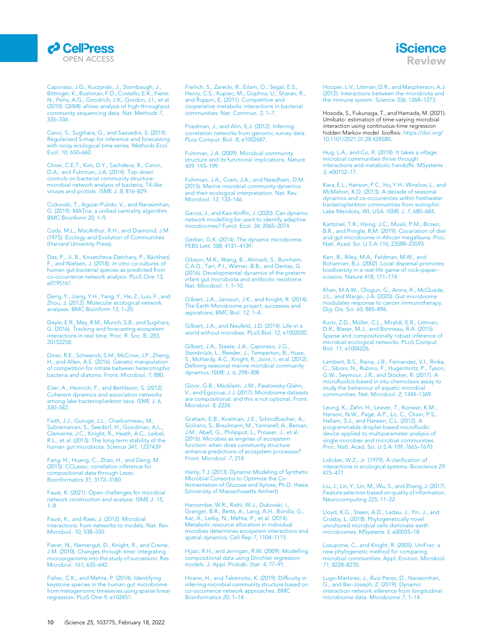### *d* CelPress OPEN ACCESS

**iScience** Review

<span id="page-9-46"></span>[Caporaso, J.G., Kuczynski, J., Stombaugh, J.,](http://refhub.elsevier.com/S2589-0042(22)00045-1/sref14) [Bittinger, K., Bushman, F.D., Costello, E.K., Fierer,](http://refhub.elsevier.com/S2589-0042(22)00045-1/sref14) N., Peñ[a, A.G., Goodrich, J.K., Gordon, J.I., et al.](http://refhub.elsevier.com/S2589-0042(22)00045-1/sref14) [\(2010\). QIIME allows analysis of high-throughput](http://refhub.elsevier.com/S2589-0042(22)00045-1/sref14) [community sequencing data. Nat. Methods](http://refhub.elsevier.com/S2589-0042(22)00045-1/sref14) 7, [335–336.](http://refhub.elsevier.com/S2589-0042(22)00045-1/sref14)

<span id="page-9-36"></span>[Cenci, S., Sugihara, G., and Saavedra, S. \(2019\).](http://refhub.elsevier.com/S2589-0042(22)00045-1/sref15) [Regularized S](http://refhub.elsevier.com/S2589-0042(22)00045-1/sref15)-[map for inference and forecasting](http://refhub.elsevier.com/S2589-0042(22)00045-1/sref15) [with noisy ecological time series. Methods Ecol.](http://refhub.elsevier.com/S2589-0042(22)00045-1/sref15) Evol. 10[, 650–660.](http://refhub.elsevier.com/S2589-0042(22)00045-1/sref15)

<span id="page-9-33"></span>[Chow, C.E.T., Kim, D.Y., Sachdeva, R., Caron,](http://refhub.elsevier.com/S2589-0042(22)00045-1/sref16) [D.A., and Fuhrman, J.A. \(2014\). Top-down](http://refhub.elsevier.com/S2589-0042(22)00045-1/sref16) [controls on bacterial community structure:](http://refhub.elsevier.com/S2589-0042(22)00045-1/sref16) [microbial network analysis of bacteria, T4-like](http://refhub.elsevier.com/S2589-0042(22)00045-1/sref16) [viruses and protists. ISME J.](http://refhub.elsevier.com/S2589-0042(22)00045-1/sref16) 8, 816–829.

<span id="page-9-21"></span>[Cickovski, T., Aguiar-Pulido, V., and Narasimhan,](http://refhub.elsevier.com/S2589-0042(22)00045-1/sref17) [G. \(2019\). MATria: a unified centrality algorithm.](http://refhub.elsevier.com/S2589-0042(22)00045-1/sref17) [BMC Bioinform](http://refhub.elsevier.com/S2589-0042(22)00045-1/sref17) 20, 1-9.

<span id="page-9-8"></span>[Cody, M.L., MacArthur, R.H., and Diamond, J.M.](http://refhub.elsevier.com/S2589-0042(22)00045-1/sref18) [\(1975\). Ecology and Evolution of Communities](http://refhub.elsevier.com/S2589-0042(22)00045-1/sref18) [\(Harvard University Press\).](http://refhub.elsevier.com/S2589-0042(22)00045-1/sref18)

<span id="page-9-38"></span>Das, P., Ji, B., Kovatcheva-Datchary, P., Bäckhed, [F., and Nielsen, J. \(2018\).](http://refhub.elsevier.com/S2589-0042(22)00045-1/sref19) In vitro co-cultures of [human gut bacterial species as predicted from](http://refhub.elsevier.com/S2589-0042(22)00045-1/sref19) [co-occurrence network analysis. PLoS One](http://refhub.elsevier.com/S2589-0042(22)00045-1/sref19) 13, [e0195161.](http://refhub.elsevier.com/S2589-0042(22)00045-1/sref19)

<span id="page-9-20"></span>[Deng, Y., Jiang, Y.H., Yang, Y., He, Z., Luo, F., and](http://refhub.elsevier.com/S2589-0042(22)00045-1/sref20) [Zhou, J. \(2012\). Molecular ecological network](http://refhub.elsevier.com/S2589-0042(22)00045-1/sref20) [analyses. BMC Bioinform](http://refhub.elsevier.com/S2589-0042(22)00045-1/sref20) 13, 1–20.

<span id="page-9-37"></span>[Deyle, E.R., May, R.M., Munch, S.B., and Sugihara,](http://refhub.elsevier.com/S2589-0042(22)00045-1/sref21) [G. \(2016\). Tracking and forecasting ecosystem](http://refhub.elsevier.com/S2589-0042(22)00045-1/sref21) [interactions in real time. Proc. R. Soc. B.](http://refhub.elsevier.com/S2589-0042(22)00045-1/sref21) 283, [20152258.](http://refhub.elsevier.com/S2589-0042(22)00045-1/sref21)

<span id="page-9-39"></span>[Diner, R.E., Schwenck, S.M., McCrow, J.P., Zheng,](http://refhub.elsevier.com/S2589-0042(22)00045-1/sref22) [H., and Allen, A.E. \(2016\). Genetic manipulation](http://refhub.elsevier.com/S2589-0042(22)00045-1/sref22) [of competition for nitrate between heterotrophic](http://refhub.elsevier.com/S2589-0042(22)00045-1/sref22) [bacteria and diatoms. Front. Microbiol.](http://refhub.elsevier.com/S2589-0042(22)00045-1/sref22) 7, 880.

<span id="page-9-27"></span>[Eiler, A., Heinrich, F., and Bertilsson, S. \(2012\).](http://refhub.elsevier.com/S2589-0042(22)00045-1/sref23) [Coherent dynamics and association networks](http://refhub.elsevier.com/S2589-0042(22)00045-1/sref23) [among lake bacterioplankton taxa. ISME J.](http://refhub.elsevier.com/S2589-0042(22)00045-1/sref23) 6, [330–342.](http://refhub.elsevier.com/S2589-0042(22)00045-1/sref23)

<span id="page-9-25"></span>[Faith, J.J., Guruge, J.L., Charbonneau, M.,](http://refhub.elsevier.com/S2589-0042(22)00045-1/sref24) [Subramanian, S., Seedorf, H., Goodman, A.L.,](http://refhub.elsevier.com/S2589-0042(22)00045-1/sref24) [Clemente, J.C., Knight, R., Heath, A.C., Leibel,](http://refhub.elsevier.com/S2589-0042(22)00045-1/sref24) [R.L., et al. \(2013\). The long-term stability of the](http://refhub.elsevier.com/S2589-0042(22)00045-1/sref24) [human gut microbiota. Science](http://refhub.elsevier.com/S2589-0042(22)00045-1/sref24) 341, 1237439.

<span id="page-9-16"></span>[Fang, H., Huang, C., Zhao, H., and Deng, M.](http://refhub.elsevier.com/S2589-0042(22)00045-1/sref25) [\(2015\). CCLasso: correlation inference for](http://refhub.elsevier.com/S2589-0042(22)00045-1/sref25) [compositional data through Lasso.](http://refhub.elsevier.com/S2589-0042(22)00045-1/sref25) [Bioinformatics](http://refhub.elsevier.com/S2589-0042(22)00045-1/sref25) 31, 3172–3180.

<span id="page-9-23"></span>[Faust, K. \(2021\). Open challenges for microbial](http://refhub.elsevier.com/S2589-0042(22)00045-1/sref26) [network construction and analysis. ISME J.](http://refhub.elsevier.com/S2589-0042(22)00045-1/sref26) 15, [1–8.](http://refhub.elsevier.com/S2589-0042(22)00045-1/sref26)

<span id="page-9-3"></span>[Faust, K., and Raes, J. \(2012\). Microbial](http://refhub.elsevier.com/S2589-0042(22)00045-1/sref27) [interactions: from networks to models. Nat. Rev.](http://refhub.elsevier.com/S2589-0042(22)00045-1/sref27) [Microbiol.](http://refhub.elsevier.com/S2589-0042(22)00045-1/sref27) 10, 538–550.

<span id="page-9-30"></span>[Fierer, N., Nemergut, D., Knight, R., and Craine,](http://refhub.elsevier.com/S2589-0042(22)00045-1/sref28) [J.M. \(2010\). Changes through time: integrating](http://refhub.elsevier.com/S2589-0042(22)00045-1/sref28) [microorganisms into the study of succession. Res.](http://refhub.elsevier.com/S2589-0042(22)00045-1/sref28) [Microbiol.](http://refhub.elsevier.com/S2589-0042(22)00045-1/sref28) 161, 635–642.

<span id="page-9-31"></span>[Fisher, C.K., and Mehta, P. \(2014\). Identifying](http://refhub.elsevier.com/S2589-0042(22)00045-1/sref29) [keystone species in the human gut microbiome](http://refhub.elsevier.com/S2589-0042(22)00045-1/sref29) [from metagenomic timeseries using sparse linear](http://refhub.elsevier.com/S2589-0042(22)00045-1/sref29) [regression. PLoS One](http://refhub.elsevier.com/S2589-0042(22)00045-1/sref29) 9, e102451. <span id="page-9-14"></span>[Freilich, S., Zarecki, R., Eilam, O., Segal, E.S.,](http://refhub.elsevier.com/S2589-0042(22)00045-1/sref30) [Henry, C.S., Kupiec, M., Gophna, U., Sharan, R.,](http://refhub.elsevier.com/S2589-0042(22)00045-1/sref30) [and Ruppin, E. \(2011\). Competitive and](http://refhub.elsevier.com/S2589-0042(22)00045-1/sref30) [cooperative metabolic interactions in bacterial](http://refhub.elsevier.com/S2589-0042(22)00045-1/sref30) [communities. Nat. Commun.](http://refhub.elsevier.com/S2589-0042(22)00045-1/sref30) 2, 1–7.

<span id="page-9-15"></span>[Friedman, J., and Alm, E.J. \(2012\). Inferring](http://refhub.elsevier.com/S2589-0042(22)00045-1/sref31) [correlation networks from genomic survey data.](http://refhub.elsevier.com/S2589-0042(22)00045-1/sref31) [PLos Comput. Biol.](http://refhub.elsevier.com/S2589-0042(22)00045-1/sref31) 8, e1002687.

<span id="page-9-4"></span>[Fuhrman, J.A. \(2009\). Microbial community](http://refhub.elsevier.com/S2589-0042(22)00045-1/sref32) [structure and its functional implications. Nature](http://refhub.elsevier.com/S2589-0042(22)00045-1/sref32) 459[, 193–199.](http://refhub.elsevier.com/S2589-0042(22)00045-1/sref32)

<span id="page-9-29"></span>[Fuhrman, J.A., Cram, J.A., and Needham, D.M.](http://refhub.elsevier.com/S2589-0042(22)00045-1/sref33) [\(2015\). Marine microbial community dynamics](http://refhub.elsevier.com/S2589-0042(22)00045-1/sref33) [and their ecological interpretation. Nat. Rev.](http://refhub.elsevier.com/S2589-0042(22)00045-1/sref33) [Microbiol.](http://refhub.elsevier.com/S2589-0042(22)00045-1/sref33) 13, 133–146.

<span id="page-9-34"></span>[Garcia, J., and Kao](http://refhub.elsevier.com/S2589-0042(22)00045-1/sref34)-[Kniffin, J. \(2020\). Can dynamic](http://refhub.elsevier.com/S2589-0042(22)00045-1/sref34) [network modelling be used to identify adaptive](http://refhub.elsevier.com/S2589-0042(22)00045-1/sref34) [microbiomes? Funct. Ecol.](http://refhub.elsevier.com/S2589-0042(22)00045-1/sref34) 34, 2065–2074.

<span id="page-9-24"></span>[Gerber, G.K. \(2014\). The dynamic microbiome.](http://refhub.elsevier.com/S2589-0042(22)00045-1/sref35) FEBS Lett. 588[, 4131–4139.](http://refhub.elsevier.com/S2589-0042(22)00045-1/sref35)

<span id="page-9-9"></span>[Gibson, M.K., Wang, B., Ahmadi, S., Burnham,](http://refhub.elsevier.com/S2589-0042(22)00045-1/sref36) [C.A.D., Tarr, P.I., Warner, B.B., and Dantas, G.](http://refhub.elsevier.com/S2589-0042(22)00045-1/sref36) [\(2016\). Developmental dynamics of the preterm](http://refhub.elsevier.com/S2589-0042(22)00045-1/sref36) [infant gut microbiota and antibiotic resistome.](http://refhub.elsevier.com/S2589-0042(22)00045-1/sref36) [Nat. Microbiol.](http://refhub.elsevier.com/S2589-0042(22)00045-1/sref36) 1, 1–10.

<span id="page-9-45"></span>[Gilbert, J.A., Jansson, J.K., and Knight, R. \(2014\).](http://refhub.elsevier.com/S2589-0042(22)00045-1/sref37) [The Earth Microbiome project: successes and](http://refhub.elsevier.com/S2589-0042(22)00045-1/sref37) [aspirations. BMC Biol.](http://refhub.elsevier.com/S2589-0042(22)00045-1/sref37) 12, 1–4.

<span id="page-9-0"></span>[Gilbert, J.A., and Neufeld, J.D. \(2014\). Life in a](http://refhub.elsevier.com/S2589-0042(22)00045-1/sref38) [world without microbes. PLoS Biol.](http://refhub.elsevier.com/S2589-0042(22)00045-1/sref38) 12, e1002020.

<span id="page-9-26"></span>[Gilbert, J.A., Steele, J.A., Caporaso, J.G.,](http://refhub.elsevier.com/S2589-0042(22)00045-1/sref39) Steinbrü[ck, L., Reeder, J., Temperton, B., Huse,](http://refhub.elsevier.com/S2589-0042(22)00045-1/sref39) [S., McHardy, A.C., Knight, R., Joint, I., et al. \(2012\).](http://refhub.elsevier.com/S2589-0042(22)00045-1/sref39) [Defining seasonal marine microbial community](http://refhub.elsevier.com/S2589-0042(22)00045-1/sref39) [dynamics. ISME J.](http://refhub.elsevier.com/S2589-0042(22)00045-1/sref39) 6, 298–308.

<span id="page-9-12"></span>[Gloor, G.B., Macklaim, J.M., Pawlowsky-Glahn,](http://refhub.elsevier.com/S2589-0042(22)00045-1/sref40) [V., and Egozcue, J.J. \(2017\). Microbiome datasets](http://refhub.elsevier.com/S2589-0042(22)00045-1/sref40) [are compositional: and this is not optional. Front.](http://refhub.elsevier.com/S2589-0042(22)00045-1/sref40) [Microbiol.](http://refhub.elsevier.com/S2589-0042(22)00045-1/sref40) 8, 2224.

<span id="page-9-5"></span>[Graham, E.B., Knelman, J.E., Schindlbacher, A.,](http://refhub.elsevier.com/S2589-0042(22)00045-1/sref41) [Siciliano, S., Breulmann, M., Yannarell, A., Beman,](http://refhub.elsevier.com/S2589-0042(22)00045-1/sref41) [J.M., Abell, G., Philippot, L., Prosser, J., et al.](http://refhub.elsevier.com/S2589-0042(22)00045-1/sref41) [\(2016\). Microbes as engines of ecosystem](http://refhub.elsevier.com/S2589-0042(22)00045-1/sref41) [function: when does community structure](http://refhub.elsevier.com/S2589-0042(22)00045-1/sref41) [enhance predictions of ecosystem processes?](http://refhub.elsevier.com/S2589-0042(22)00045-1/sref41) [Front. Microbiol.](http://refhub.elsevier.com/S2589-0042(22)00045-1/sref41) 7, 214.

<span id="page-9-42"></span>[Hanly, T.J. \(2013\). Dynamic Modeling of Synthetic](http://refhub.elsevier.com/S2589-0042(22)00045-1/sref42) [Microbial Consortia to Optimize the Co](http://refhub.elsevier.com/S2589-0042(22)00045-1/sref42)[fermentation of Glucose and Xylose, Ph.D. thesis](http://refhub.elsevier.com/S2589-0042(22)00045-1/sref42) [\(University of Massachusetts Amhert\).](http://refhub.elsevier.com/S2589-0042(22)00045-1/sref42)

<span id="page-9-43"></span>[Harcombe, W.R., Riehl, W.J., Dukovski, I.,](http://refhub.elsevier.com/S2589-0042(22)00045-1/sref43) [Granger, B.R., Betts, A., Lang, A.H., Bonilla, G.,](http://refhub.elsevier.com/S2589-0042(22)00045-1/sref43) [Kar, A., Leiby, N., Mehta, P., et al. \(2014\).](http://refhub.elsevier.com/S2589-0042(22)00045-1/sref43) [Metabolic resource allocation in individual](http://refhub.elsevier.com/S2589-0042(22)00045-1/sref43) [microbes determines ecosystem interactions and](http://refhub.elsevier.com/S2589-0042(22)00045-1/sref43) [spatial dynamics. Cell Rep](http://refhub.elsevier.com/S2589-0042(22)00045-1/sref43) 7, 1104–1115.

<span id="page-9-19"></span>[Hijazi, R.H., and Jernigan, R.W. \(2009\). Modelling](http://refhub.elsevier.com/S2589-0042(22)00045-1/sref44) [compositional data using Dirichlet regression](http://refhub.elsevier.com/S2589-0042(22)00045-1/sref44) [models. J. Appl. Probab. Stat.](http://refhub.elsevier.com/S2589-0042(22)00045-1/sref44) 4, 77–91.

<span id="page-9-22"></span>[Hirano, H., and Takemoto, K. \(2019\). Difficulty in](http://refhub.elsevier.com/S2589-0042(22)00045-1/sref45) [inferring microbial community structure based on](http://refhub.elsevier.com/S2589-0042(22)00045-1/sref45) [co-occurrence network approaches. BMC](http://refhub.elsevier.com/S2589-0042(22)00045-1/sref45) [Bioinformatics](http://refhub.elsevier.com/S2589-0042(22)00045-1/sref45) 20, 1–14.

<span id="page-9-1"></span>[Hooper, L.V., Littman, D.R., and Macpherson, A.J.](http://refhub.elsevier.com/S2589-0042(22)00045-1/sref46) [\(2012\). Interactions between the microbiota and](http://refhub.elsevier.com/S2589-0042(22)00045-1/sref46) [the immune system. Science](http://refhub.elsevier.com/S2589-0042(22)00045-1/sref46) 336, 1268–1273.

<span id="page-9-32"></span>Hosoda, S., Fukunaga, T., and Hamada, M. (2021). Umibato: estimation of time-varying microbial interaction using continuous-time regression hidden Markov model. bioRxiv. [https://doi.org/](https://doi.org/10.1101/2021.01.28.428580) [10.1101/2021.01.28.428580.](https://doi.org/10.1101/2021.01.28.428580)

<span id="page-9-7"></span>[Hug, L.A., and Co, R. \(2018\). It takes a village:](http://refhub.elsevier.com/S2589-0042(22)00045-1/sref48) [microbial communities thrive through](http://refhub.elsevier.com/S2589-0042(22)00045-1/sref48) [interactions and metabolic handoffs. MSystems](http://refhub.elsevier.com/S2589-0042(22)00045-1/sref48) 3[, e00152–17.](http://refhub.elsevier.com/S2589-0042(22)00045-1/sref48)

<span id="page-9-28"></span>[Kara, E.L., Hanson, P.C., Hu, Y.H., Winslow, L., and](http://refhub.elsevier.com/S2589-0042(22)00045-1/sref49) [McMahon, K.D. \(2013\). A decade of seasonal](http://refhub.elsevier.com/S2589-0042(22)00045-1/sref49) [dynamics and co-occurrences within freshwater](http://refhub.elsevier.com/S2589-0042(22)00045-1/sref49) [bacterioplankton communities from eutrophic](http://refhub.elsevier.com/S2589-0042(22)00045-1/sref49) [Lake Mendota, WI, USA. ISME J.](http://refhub.elsevier.com/S2589-0042(22)00045-1/sref49) 7, 680–684.

<span id="page-9-10"></span>[Kartzinel, T.R., Hsing, J.C., Musili, P.M., Brown,](http://refhub.elsevier.com/S2589-0042(22)00045-1/sref50) [B.R., and Pringle, R.M. \(2019\). Covariation of diet](http://refhub.elsevier.com/S2589-0042(22)00045-1/sref50) [and gut microbiome in African megafauna. Proc.](http://refhub.elsevier.com/S2589-0042(22)00045-1/sref50) [Natl. Acad. Sci. U S A](http://refhub.elsevier.com/S2589-0042(22)00045-1/sref50) 116, 23588–23593.

<span id="page-9-2"></span>[Kerr, B., Riley, M.A., Feldman, M.W., and](http://refhub.elsevier.com/S2589-0042(22)00045-1/sref51) [Bohannan, B.J. \(2002\). Local dispersal promotes](http://refhub.elsevier.com/S2589-0042(22)00045-1/sref51) [biodiversity in a real-life game of rock–paper–](http://refhub.elsevier.com/S2589-0042(22)00045-1/sref51) [scissors. Nature](http://refhub.elsevier.com/S2589-0042(22)00045-1/sref51) 418, 171–174.

<span id="page-9-11"></span>[Khan, M.A.W., Ologun, G., Arora, R., McQuade,](http://refhub.elsevier.com/S2589-0042(22)00045-1/sref52) [J.L., and Wargo, J.A. \(2020\). Gut microbiome](http://refhub.elsevier.com/S2589-0042(22)00045-1/sref52) [modulates response to cancer immunotherapy.](http://refhub.elsevier.com/S2589-0042(22)00045-1/sref52) [Dig. Dis. Sci.](http://refhub.elsevier.com/S2589-0042(22)00045-1/sref52) 65, 885–896.

<span id="page-9-17"></span>Kurtz, Z.D., Mü[ller, C.L., Miraldi, E.R., Littman,](http://refhub.elsevier.com/S2589-0042(22)00045-1/sref53) [D.R., Blaser, M.J., and Bonneau, R.A. \(2015\).](http://refhub.elsevier.com/S2589-0042(22)00045-1/sref53) [Sparse and compositionally robust inference of](http://refhub.elsevier.com/S2589-0042(22)00045-1/sref53) [microbial ecological networks. PLoS Comput.](http://refhub.elsevier.com/S2589-0042(22)00045-1/sref53) Biol. 11[, e1004226.](http://refhub.elsevier.com/S2589-0042(22)00045-1/sref53)

<span id="page-9-41"></span>[Lambert, B.S., Raina, J.B., Fernandez, V.I., Rinke,](http://refhub.elsevier.com/S2589-0042(22)00045-1/sref54) [C., Siboni, N., Rubino, F., Hugenholtz, P., Tyson,](http://refhub.elsevier.com/S2589-0042(22)00045-1/sref54) [G.W., Seymour, J.R., and Stocker, R. \(2017\). A](http://refhub.elsevier.com/S2589-0042(22)00045-1/sref54) [microfluidics-based in situ chemotaxis assay to](http://refhub.elsevier.com/S2589-0042(22)00045-1/sref54) [study the behaviour of aquatic microbial](http://refhub.elsevier.com/S2589-0042(22)00045-1/sref54) [communities. Nat. Microbiol.](http://refhub.elsevier.com/S2589-0042(22)00045-1/sref54) 2, 1344–1349.

<span id="page-9-40"></span>[Leung, K., Zahn, H., Leaver, T., Konwar, K.M.,](http://refhub.elsevier.com/S2589-0042(22)00045-1/sref55) Hanson, N.W., Pagé[, A.P., Lo, C., Chain, P.S.,](http://refhub.elsevier.com/S2589-0042(22)00045-1/sref55) [Hallam, S.J., and Hansen, C.L. \(2012\). A](http://refhub.elsevier.com/S2589-0042(22)00045-1/sref55) [programmable droplet-based microfluidic](http://refhub.elsevier.com/S2589-0042(22)00045-1/sref55) [device applied to multiparameter analysis of](http://refhub.elsevier.com/S2589-0042(22)00045-1/sref55) [single microbes and microbial communities.](http://refhub.elsevier.com/S2589-0042(22)00045-1/sref55) [Proc. Natl. Acad. Sci. U S A](http://refhub.elsevier.com/S2589-0042(22)00045-1/sref55) 109, 7665–7670.

<span id="page-9-6"></span>[Lidicker, W.Z., Jr. \(1979\). A clarification of](http://refhub.elsevier.com/S2589-0042(22)00045-1/sref56) [interactions in ecological systems. Bioscience](http://refhub.elsevier.com/S2589-0042(22)00045-1/sref56) 29, [475–477.](http://refhub.elsevier.com/S2589-0042(22)00045-1/sref56)

<span id="page-9-18"></span>[Liu, J., Lin, Y., Lin, M., Wu, S., and Zhang, J. \(2017\).](http://refhub.elsevier.com/S2589-0042(22)00045-1/sref57) [Feature selection based on quality of information.](http://refhub.elsevier.com/S2589-0042(22)00045-1/sref57) [Neurocomputing](http://refhub.elsevier.com/S2589-0042(22)00045-1/sref57) 225, 11–22.

<span id="page-9-44"></span>[Lloyd, K.G., Steen, A.D., Ladau, J., Yin, J., and](http://refhub.elsevier.com/S2589-0042(22)00045-1/sref58) [Crosby, L. \(2018\). Phylogenetically novel](http://refhub.elsevier.com/S2589-0042(22)00045-1/sref58) [uncultured microbial cells dominate earth](http://refhub.elsevier.com/S2589-0042(22)00045-1/sref58) [microbiomes. MSystems](http://refhub.elsevier.com/S2589-0042(22)00045-1/sref58) 3, e00055–18.

<span id="page-9-13"></span>[Lozupone, C., and Knight, R. \(2005\). UniFrac: a](http://refhub.elsevier.com/S2589-0042(22)00045-1/sref59) [new phylogenetic method for comparing](http://refhub.elsevier.com/S2589-0042(22)00045-1/sref59) [microbial communities. Appl. Environ. Microbiol.](http://refhub.elsevier.com/S2589-0042(22)00045-1/sref59) 71[, 8228–8235.](http://refhub.elsevier.com/S2589-0042(22)00045-1/sref59)

<span id="page-9-35"></span>[Lugo-Martinez, J., Ruiz-Perez, D., Narasimhan,](http://refhub.elsevier.com/S2589-0042(22)00045-1/sref60) [G., and Bar-Joseph, Z. \(2019\). Dynamic](http://refhub.elsevier.com/S2589-0042(22)00045-1/sref60) [interaction network inference from longitudinal](http://refhub.elsevier.com/S2589-0042(22)00045-1/sref60) [microbiome data. Microbiome](http://refhub.elsevier.com/S2589-0042(22)00045-1/sref60) 7, 1–14.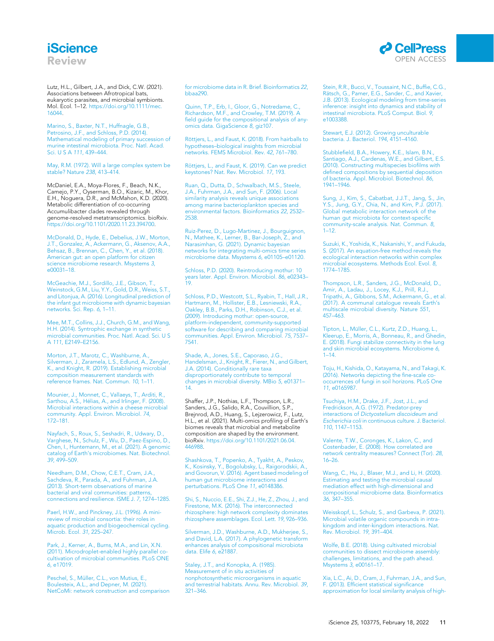## **iScience** Review



<span id="page-10-15"></span>Lutz, H.L., Gilbert, J.A., and Dick, C.W. (2021). Associations between Afrotropical bats, eukaryotic parasites, and microbial symbionts. Mol. Ecol. 1–12. [https://doi.org/10.1111/mec.](https://doi.org/10.1111/mec.16044) [16044.](https://doi.org/10.1111/mec.16044)

<span id="page-10-22"></span>[Marino, S., Baxter, N.T., Huffnagle, G.B.,](http://refhub.elsevier.com/S2589-0042(22)00045-1/sref62) [Petrosino, J.F., and Schloss, P.D. \(2014\).](http://refhub.elsevier.com/S2589-0042(22)00045-1/sref62) [Mathematical modeling of primary succession of](http://refhub.elsevier.com/S2589-0042(22)00045-1/sref62) [murine intestinal microbiota. Proc. Natl. Acad.](http://refhub.elsevier.com/S2589-0042(22)00045-1/sref62) Sci. U S A 111[, 439–444.](http://refhub.elsevier.com/S2589-0042(22)00045-1/sref62)

<span id="page-10-9"></span>[May, R.M. \(1972\). Will a large complex system be](http://refhub.elsevier.com/S2589-0042(22)00045-1/sref63) [stable? Nature](http://refhub.elsevier.com/S2589-0042(22)00045-1/sref63) 238, 413–414.

<span id="page-10-38"></span>McDaniel, E.A., Moya-Flores, F., Beach, N.K., Camejo, P.Y., Oyserman, B.O., Kizaric, M., Khor, E.H., Noguera, D.R., and McMahon, K.D. (2020). Metabolic differentiation of co-occurring Accumulibacter clades revealed through genome-resolved metatranscriptomics. bioRxiv. [https://doi.org/10.1101/2020.11.23.394700.](https://doi.org/10.1101/2020.11.23.394700)

<span id="page-10-1"></span>[McDonald, D., Hyde, E., Debelius, J.W., Morton,](http://refhub.elsevier.com/S2589-0042(22)00045-1/sref65) [J.T., Gonzalez, A., Ackermann, G., Aksenov, A.A.,](http://refhub.elsevier.com/S2589-0042(22)00045-1/sref65) [Behsaz, B., Brennan, C., Chen, Y., et al. \(2018\).](http://refhub.elsevier.com/S2589-0042(22)00045-1/sref65) [American gut: an open platform for citizen](http://refhub.elsevier.com/S2589-0042(22)00045-1/sref65) [science microbiome research. Msystems](http://refhub.elsevier.com/S2589-0042(22)00045-1/sref65) 3, [e00031–18.](http://refhub.elsevier.com/S2589-0042(22)00045-1/sref65)

<span id="page-10-28"></span>[McGeachie, M.J., Sordillo, J.E., Gibson, T.,](http://refhub.elsevier.com/S2589-0042(22)00045-1/sref66) [Weinstock, G.M., Liu, Y.Y., Gold, D.R., Weiss, S.T.,](http://refhub.elsevier.com/S2589-0042(22)00045-1/sref66) [and Litonjua, A. \(2016\). Longitudinal prediction of](http://refhub.elsevier.com/S2589-0042(22)00045-1/sref66) [the infant gut microbiome with dynamic bayesian](http://refhub.elsevier.com/S2589-0042(22)00045-1/sref66) [networks. Sci. Rep.](http://refhub.elsevier.com/S2589-0042(22)00045-1/sref66) 6, 1–11.

<span id="page-10-30"></span>[Mee, M.T., Collins, J.J., Church, G.M., and Wang,](http://refhub.elsevier.com/S2589-0042(22)00045-1/sref67) [H.H. \(2014\). Syntrophic exchange in synthetic](http://refhub.elsevier.com/S2589-0042(22)00045-1/sref67) [microbial communities. Proc. Natl. Acad. Sci. U S](http://refhub.elsevier.com/S2589-0042(22)00045-1/sref67) A 111[, E2149–E2156.](http://refhub.elsevier.com/S2589-0042(22)00045-1/sref67)

<span id="page-10-11"></span>[Morton, J.T., Marotz, C., Washburne, A.,](http://refhub.elsevier.com/S2589-0042(22)00045-1/sref68) [Silverman, J., Zaramela, L.S., Edlund, A., Zengler,](http://refhub.elsevier.com/S2589-0042(22)00045-1/sref68) [K., and Knight, R. \(2019\). Establishing microbial](http://refhub.elsevier.com/S2589-0042(22)00045-1/sref68) [composition measurement standards with](http://refhub.elsevier.com/S2589-0042(22)00045-1/sref68) [reference frames. Nat. Commun.](http://refhub.elsevier.com/S2589-0042(22)00045-1/sref68) 10, 1–11.

<span id="page-10-24"></span>[Mounier, J., Monnet, C., Vallaeys, T., Arditi, R.,](http://refhub.elsevier.com/S2589-0042(22)00045-1/sref69) Sarthou, A.S., Hé[lias, A., and Irlinger, F. \(2008\).](http://refhub.elsevier.com/S2589-0042(22)00045-1/sref69) [Microbial interactions within a cheese microbial](http://refhub.elsevier.com/S2589-0042(22)00045-1/sref69) [community. Appl. Environ. Microbiol.](http://refhub.elsevier.com/S2589-0042(22)00045-1/sref69) 74, [172–181.](http://refhub.elsevier.com/S2589-0042(22)00045-1/sref69)

<span id="page-10-5"></span>[Nayfach, S., Roux, S., Seshadri, R., Udwary, D.,](http://refhub.elsevier.com/S2589-0042(22)00045-1/sref70) [Varghese, N., Schulz, F., Wu, D., Paez-Espino, D.,](http://refhub.elsevier.com/S2589-0042(22)00045-1/sref70) Chen, I., Huntemann, M., et al. (2021). A genomic [Chen, I., Huntemann, M., et al. \(2021\). A genomic](http://refhub.elsevier.com/S2589-0042(22)00045-1/sref70) [catalog of Earth's microbiomes. Nat. Biotechnol.](http://refhub.elsevier.com/S2589-0042(22)00045-1/sref70) 39[, 499–509.](http://refhub.elsevier.com/S2589-0042(22)00045-1/sref70)

<span id="page-10-23"></span>[Needham, D.M., Chow, C.E.T., Cram, J.A.,](http://refhub.elsevier.com/S2589-0042(22)00045-1/sref71) [Sachdeva, R., Parada, A., and Fuhrman, J.A.](http://refhub.elsevier.com/S2589-0042(22)00045-1/sref71) [\(2013\). Short-term observations of marine](http://refhub.elsevier.com/S2589-0042(22)00045-1/sref71) [bacterial and viral communities: patterns,](http://refhub.elsevier.com/S2589-0042(22)00045-1/sref71) [connections and resilience. ISME J.](http://refhub.elsevier.com/S2589-0042(22)00045-1/sref71) 7, 1274–1285.

<span id="page-10-2"></span>[Paerl, H.W., and Pinckney, J.L. \(1996\). A mini](http://refhub.elsevier.com/S2589-0042(22)00045-1/sref72)[review of microbial consortia: their roles in](http://refhub.elsevier.com/S2589-0042(22)00045-1/sref72) [aquatic production and biogeochemical cycling.](http://refhub.elsevier.com/S2589-0042(22)00045-1/sref72) [Microb. Ecol.](http://refhub.elsevier.com/S2589-0042(22)00045-1/sref72) 31, 225–247.

<span id="page-10-33"></span>[Park, J., Kerner, A., Burns, M.A., and Lin, X.N.](http://refhub.elsevier.com/S2589-0042(22)00045-1/sref73) [\(2011\). Microdroplet-enabled highly parallel co-](http://refhub.elsevier.com/S2589-0042(22)00045-1/sref73)[cultivation of microbial communities. PLoS ONE](http://refhub.elsevier.com/S2589-0042(22)00045-1/sref73) 6[, e17019.](http://refhub.elsevier.com/S2589-0042(22)00045-1/sref73)

<span id="page-10-13"></span>Peschel, S., Mü[ller, C.L., von Mutius, E.,](http://refhub.elsevier.com/S2589-0042(22)00045-1/sref74) [Boulesteix, A.L., and Depner, M. \(2021\).](http://refhub.elsevier.com/S2589-0042(22)00045-1/sref74) [NetCoMi: network construction and comparison](http://refhub.elsevier.com/S2589-0042(22)00045-1/sref74) [for microbiome data in R. Brief. Bioinformatics](http://refhub.elsevier.com/S2589-0042(22)00045-1/sref74) 22, [bbaa290.](http://refhub.elsevier.com/S2589-0042(22)00045-1/sref74)

<span id="page-10-10"></span>[Quinn, T.P., Erb, I., Gloor, G., Notredame, C.,](http://refhub.elsevier.com/S2589-0042(22)00045-1/sref75) [Richardson, M.F., and Crowley, T.M. \(2019\). A](http://refhub.elsevier.com/S2589-0042(22)00045-1/sref75) [field guide for the compositional analysis of any](http://refhub.elsevier.com/S2589-0042(22)00045-1/sref75)[omics data. GigaScience](http://refhub.elsevier.com/S2589-0042(22)00045-1/sref75) 8, giz107.

<span id="page-10-19"></span>Rö[ttjers, L., and Faust, K. \(2018\). From hairballs to](http://refhub.elsevier.com/S2589-0042(22)00045-1/sref76) [hypotheses–biological insights from microbial](http://refhub.elsevier.com/S2589-0042(22)00045-1/sref76) [networks. FEMS Microbiol. Rev.](http://refhub.elsevier.com/S2589-0042(22)00045-1/sref76) 42, 761–780.

<span id="page-10-20"></span>Rö[ttjers, L., and Faust, K. \(2019\). Can we predict](http://refhub.elsevier.com/S2589-0042(22)00045-1/sref77) [keystones? Nat. Rev. Microbiol.](http://refhub.elsevier.com/S2589-0042(22)00045-1/sref77) 17, 193.

<span id="page-10-27"></span>[Ruan, Q., Dutta, D., Schwalbach, M.S., Steele,](http://refhub.elsevier.com/S2589-0042(22)00045-1/sref78) [J.A., Fuhrman, J.A., and Sun, F. \(2006\). Local](http://refhub.elsevier.com/S2589-0042(22)00045-1/sref78) [similarity analysis reveals unique associations](http://refhub.elsevier.com/S2589-0042(22)00045-1/sref78) [among marine bacterioplankton species and](http://refhub.elsevier.com/S2589-0042(22)00045-1/sref78) [environmental factors. Bioinformatics](http://refhub.elsevier.com/S2589-0042(22)00045-1/sref78) 22, 2532– [2538.](http://refhub.elsevier.com/S2589-0042(22)00045-1/sref78)

<span id="page-10-37"></span>[Ruiz-Perez, D., Lugo-Martinez, J., Bourguignon,](http://refhub.elsevier.com/S2589-0042(22)00045-1/sref79) [N., Mathee, K., Lerner, B., Bar-Joseph, Z., and](http://refhub.elsevier.com/S2589-0042(22)00045-1/sref79) [Narasimhan, G. \(2021\). Dynamic bayesian](http://refhub.elsevier.com/S2589-0042(22)00045-1/sref79) [networks for integrating multi-omics time series](http://refhub.elsevier.com/S2589-0042(22)00045-1/sref79) [microbiome data. Msystems](http://refhub.elsevier.com/S2589-0042(22)00045-1/sref79) 6, e01105–e01120.

<span id="page-10-40"></span>[Schloss, P.D. \(2020\). Reintroducing mothur: 10](http://refhub.elsevier.com/S2589-0042(22)00045-1/sref80) [years later. Appl. Environ. Microbiol.](http://refhub.elsevier.com/S2589-0042(22)00045-1/sref80) 86, e02343– [19.](http://refhub.elsevier.com/S2589-0042(22)00045-1/sref80)

<span id="page-10-39"></span>[Schloss, P.D., Westcott, S.L., Ryabin, T., Hall, J.R.,](http://refhub.elsevier.com/S2589-0042(22)00045-1/sref81) [Hartmann, M., Hollister, E.B., Lesniewski, R.A.,](http://refhub.elsevier.com/S2589-0042(22)00045-1/sref81) [Oakley, B.B., Parks, D.H., Robinson, C.J., et al.](http://refhub.elsevier.com/S2589-0042(22)00045-1/sref81) [\(2009\). Introducing mothur: open-source,](http://refhub.elsevier.com/S2589-0042(22)00045-1/sref81) [platform-independent, community-supported](http://refhub.elsevier.com/S2589-0042(22)00045-1/sref81) [software for describing and comparing microbial](http://refhub.elsevier.com/S2589-0042(22)00045-1/sref81) [communities. Appl. Environ. Microbiol.](http://refhub.elsevier.com/S2589-0042(22)00045-1/sref81) 75, 7537– [7541.](http://refhub.elsevier.com/S2589-0042(22)00045-1/sref81)

<span id="page-10-4"></span>[Shade, A., Jones, S.E., Caporaso, J.G.,](http://refhub.elsevier.com/S2589-0042(22)00045-1/sref82) [Handelsman, J., Knight, R., Fierer, N., and Gilbert,](http://refhub.elsevier.com/S2589-0042(22)00045-1/sref82) [J.A. \(2014\). Conditionally rare taxa](http://refhub.elsevier.com/S2589-0042(22)00045-1/sref82) [disproportionately contribute to temporal](http://refhub.elsevier.com/S2589-0042(22)00045-1/sref82) [changes in microbial diversity. MBio](http://refhub.elsevier.com/S2589-0042(22)00045-1/sref82) 5, e01371– [14.](http://refhub.elsevier.com/S2589-0042(22)00045-1/sref82)

<span id="page-10-6"></span>Shaffer, J.P., Nothias, L.F., Thompson, L.R., Sanders, J.G., Salido, R.A., Couvillion, S.P., Brejnrod, A.D., Huang, S., Lejzerowicz, F., Lutz, H.L., et al. (2021). Multi-omics profiling of Earth's biomes reveals that microbial and metabolite composition are shaped by the environment. bioRxiv. [https://doi.org/10.1101/2021.06.04.](https://doi.org/10.1101/2021.06.04.446988) [446988.](https://doi.org/10.1101/2021.06.04.446988)

<span id="page-10-35"></span>[Shashkova, T., Popenko, A., Tyakht, A., Peskov,](http://refhub.elsevier.com/S2589-0042(22)00045-1/sref84) [K., Kosinsky, Y., Bogolubsky, L., Raigorodskii, A.,](http://refhub.elsevier.com/S2589-0042(22)00045-1/sref84) [and Govorun, V. \(2016\). Agent based modeling of](http://refhub.elsevier.com/S2589-0042(22)00045-1/sref84) [human gut microbiome interactions and](http://refhub.elsevier.com/S2589-0042(22)00045-1/sref84) [perturbations. PLoS One](http://refhub.elsevier.com/S2589-0042(22)00045-1/sref84) 11, e0148386.

<span id="page-10-18"></span>[Shi, S., Nuccio, E.E., Shi, Z.J., He, Z., Zhou, J., and](http://refhub.elsevier.com/S2589-0042(22)00045-1/sref85) [Firestone, M.K. \(2016\). The interconnected](http://refhub.elsevier.com/S2589-0042(22)00045-1/sref85) [rhizosphere: high network complexity dominates](http://refhub.elsevier.com/S2589-0042(22)00045-1/sref85) [rhizosphere assemblages. Ecol. Lett.](http://refhub.elsevier.com/S2589-0042(22)00045-1/sref85) 19, 926–936.

<span id="page-10-12"></span>[Silverman, J.D., Washburne, A.D., Mukherjee, S.,](http://refhub.elsevier.com/S2589-0042(22)00045-1/sref86) [and David, L.A. \(2017\). A phylogenetic transform](http://refhub.elsevier.com/S2589-0042(22)00045-1/sref86) [enhances analysis of compositional microbiota](http://refhub.elsevier.com/S2589-0042(22)00045-1/sref86) [data. Elife](http://refhub.elsevier.com/S2589-0042(22)00045-1/sref86) 6, e21887.

<span id="page-10-31"></span>[Staley, J.T., and Konopka, A. \(1985\).](http://refhub.elsevier.com/S2589-0042(22)00045-1/sref87) [Measurement of in situ activities of](http://refhub.elsevier.com/S2589-0042(22)00045-1/sref87) [nonphotosynthetic microorganisms in aquatic](http://refhub.elsevier.com/S2589-0042(22)00045-1/sref87) [and terrestrial habitats. Annu. Rev. Microbiol.](http://refhub.elsevier.com/S2589-0042(22)00045-1/sref87) 39, [321–346.](http://refhub.elsevier.com/S2589-0042(22)00045-1/sref87)

<span id="page-10-25"></span>[Stein, R.R., Bucci, V., Toussaint, N.C., Buffie, C.G.,](http://refhub.elsevier.com/S2589-0042(22)00045-1/sref88)<br>Rätsch, G., Pamer, E.G., Sander, C., and Xavier, [J.B. \(2013\). Ecological modeling from time-series](http://refhub.elsevier.com/S2589-0042(22)00045-1/sref88) [inference: insight into dynamics and stability of](http://refhub.elsevier.com/S2589-0042(22)00045-1/sref88) [intestinal microbiota. PLoS Comput. Biol.](http://refhub.elsevier.com/S2589-0042(22)00045-1/sref88) 9, [e1003388.](http://refhub.elsevier.com/S2589-0042(22)00045-1/sref88)

<span id="page-10-32"></span>[Stewart, E.J. \(2012\). Growing unculturable](http://refhub.elsevier.com/S2589-0042(22)00045-1/sref89) [bacteria. J. Bacteriol.](http://refhub.elsevier.com/S2589-0042(22)00045-1/sref89) 194, 4151–4160.

<span id="page-10-34"></span>[Stubblefield, B.A., Howery, K.E., Islam, B.N.,](http://refhub.elsevier.com/S2589-0042(22)00045-1/sref90) [Santiago, A.J., Cardenas, W.E., and Gilbert, E.S.](http://refhub.elsevier.com/S2589-0042(22)00045-1/sref90) [\(2010\). Constructing multispecies biofilms with](http://refhub.elsevier.com/S2589-0042(22)00045-1/sref90) [defined compositions by sequential deposition](http://refhub.elsevier.com/S2589-0042(22)00045-1/sref90) [of bacteria. Appl. Microbiol. Biotechnol.](http://refhub.elsevier.com/S2589-0042(22)00045-1/sref90) 86, [1941–1946.](http://refhub.elsevier.com/S2589-0042(22)00045-1/sref90)

<span id="page-10-7"></span>[Sung, J., Kim, S., Cabatbat, J.J.T., Jang, S., Jin,](http://refhub.elsevier.com/S2589-0042(22)00045-1/sref91) [Y.S., Jung, G.Y., Chia, N., and Kim, P.J. \(2017\).](http://refhub.elsevier.com/S2589-0042(22)00045-1/sref91) [Global metabolic interaction network of the](http://refhub.elsevier.com/S2589-0042(22)00045-1/sref91) [human gut microbiota for context-specific](http://refhub.elsevier.com/S2589-0042(22)00045-1/sref91) [community-scale analysis. Nat. Commun.](http://refhub.elsevier.com/S2589-0042(22)00045-1/sref91) 8, [1–12.](http://refhub.elsevier.com/S2589-0042(22)00045-1/sref91)

<span id="page-10-29"></span>[Suzuki, K., Yoshida, K., Nakanishi, Y., and Fukuda,](http://refhub.elsevier.com/S2589-0042(22)00045-1/sref92) [S. \(2017\). An equation](http://refhub.elsevier.com/S2589-0042(22)00045-1/sref92)-[free method reveals the](http://refhub.elsevier.com/S2589-0042(22)00045-1/sref92) [ecological interaction networks within complex](http://refhub.elsevier.com/S2589-0042(22)00045-1/sref92) [microbial ecosystems. Methods Ecol. Evol.](http://refhub.elsevier.com/S2589-0042(22)00045-1/sref92) 8, [1774–1785.](http://refhub.elsevier.com/S2589-0042(22)00045-1/sref92)

<span id="page-10-0"></span>[Thompson, L.R., Sanders, J.G., McDonald, D.,](http://refhub.elsevier.com/S2589-0042(22)00045-1/sref93) [Amir, A., Ladau, J., Locey, K.J., Prill, R.J.,](http://refhub.elsevier.com/S2589-0042(22)00045-1/sref93) [Tripathi, A., Gibbons, S.M., Ackermann, G., et al.](http://refhub.elsevier.com/S2589-0042(22)00045-1/sref93) [\(2017\). A communal catalogue reveals Earth's](http://refhub.elsevier.com/S2589-0042(22)00045-1/sref93) [multiscale microbial diversity. Nature](http://refhub.elsevier.com/S2589-0042(22)00045-1/sref93) 551, [457–463.](http://refhub.elsevier.com/S2589-0042(22)00045-1/sref93)

<span id="page-10-16"></span>Tipton, L., Mü[ller, C.L., Kurtz, Z.D., Huang, L.,](http://refhub.elsevier.com/S2589-0042(22)00045-1/sref94) [Kleerup, E., Morris, A., Bonneau, R., and Ghedin,](http://refhub.elsevier.com/S2589-0042(22)00045-1/sref94) [E. \(2018\). Fungi stabilize connectivity in the lung](http://refhub.elsevier.com/S2589-0042(22)00045-1/sref94) [and skin microbial ecosystems. Microbiome](http://refhub.elsevier.com/S2589-0042(22)00045-1/sref94) 6, [1–14.](http://refhub.elsevier.com/S2589-0042(22)00045-1/sref94)

<span id="page-10-14"></span>[Toju, H., Kishida, O., Katayama, N., and Takagi, K.](http://refhub.elsevier.com/S2589-0042(22)00045-1/sref95) [\(2016\). Networks depicting the fine-scale co](http://refhub.elsevier.com/S2589-0042(22)00045-1/sref95)[occurrences of fungi in soil horizons. PLoS One](http://refhub.elsevier.com/S2589-0042(22)00045-1/sref95) 11[, e0165987.](http://refhub.elsevier.com/S2589-0042(22)00045-1/sref95)

<span id="page-10-3"></span>[Tsuchiya, H.M., Drake, J.F., Jost, J.L., and](http://refhub.elsevier.com/S2589-0042(22)00045-1/sref96) [Fredrickson, A.G. \(1972\). Predator-prey](http://refhub.elsevier.com/S2589-0042(22)00045-1/sref96) interactions of [Dictyostelium discoideum](http://refhub.elsevier.com/S2589-0042(22)00045-1/sref96) and Escherichia coli [in continuous culture. J. Bacteriol.](http://refhub.elsevier.com/S2589-0042(22)00045-1/sref96) 110[, 1147–1153.](http://refhub.elsevier.com/S2589-0042(22)00045-1/sref96)

<span id="page-10-21"></span>[Valente, T.W., Coronges, K., Lakon, C., and](http://refhub.elsevier.com/S2589-0042(22)00045-1/sref97) [Costenbader, E. \(2008\). How correlated are](http://refhub.elsevier.com/S2589-0042(22)00045-1/sref97) [network centrality measures? Connect \(Tor\).](http://refhub.elsevier.com/S2589-0042(22)00045-1/sref97) 28, [16–26.](http://refhub.elsevier.com/S2589-0042(22)00045-1/sref97)

<span id="page-10-17"></span>[Wang, C., Hu, J., Blaser, M.J., and Li, H. \(2020\).](http://refhub.elsevier.com/S2589-0042(22)00045-1/sref98) [Estimating and testing the microbial causal](http://refhub.elsevier.com/S2589-0042(22)00045-1/sref98) [mediation effect with high-dimensional and](http://refhub.elsevier.com/S2589-0042(22)00045-1/sref98) [compositional microbiome data. Bioinformatics](http://refhub.elsevier.com/S2589-0042(22)00045-1/sref98) 36[, 347–355.](http://refhub.elsevier.com/S2589-0042(22)00045-1/sref98)

<span id="page-10-8"></span>[Weisskopf, L., Schulz, S., and Garbeva, P. \(2021\).](http://refhub.elsevier.com/S2589-0042(22)00045-1/sref99) [Microbial volatile organic compounds in intra](http://refhub.elsevier.com/S2589-0042(22)00045-1/sref99)[kingdom and inter-kingdom interactions. Nat.](http://refhub.elsevier.com/S2589-0042(22)00045-1/sref99) [Rev. Microbiol.](http://refhub.elsevier.com/S2589-0042(22)00045-1/sref99) 19, 391–404.

<span id="page-10-36"></span>[Wolfe, B.E. \(2018\). Using cultivated microbial](http://refhub.elsevier.com/S2589-0042(22)00045-1/sref100) [communities to dissect microbiome assembly:](http://refhub.elsevier.com/S2589-0042(22)00045-1/sref100) [challenges, limitations, and the path ahead.](http://refhub.elsevier.com/S2589-0042(22)00045-1/sref100) Msystems 3[, e00161–17.](http://refhub.elsevier.com/S2589-0042(22)00045-1/sref100)

<span id="page-10-26"></span>[Xia, L.C., Ai, D., Cram, J., Fuhrman, J.A., and Sun,](http://refhub.elsevier.com/S2589-0042(22)00045-1/sref101) [F. \(2013\). Efficient statistical significance](http://refhub.elsevier.com/S2589-0042(22)00045-1/sref101) [approximation for local similarity analysis of high-](http://refhub.elsevier.com/S2589-0042(22)00045-1/sref101)